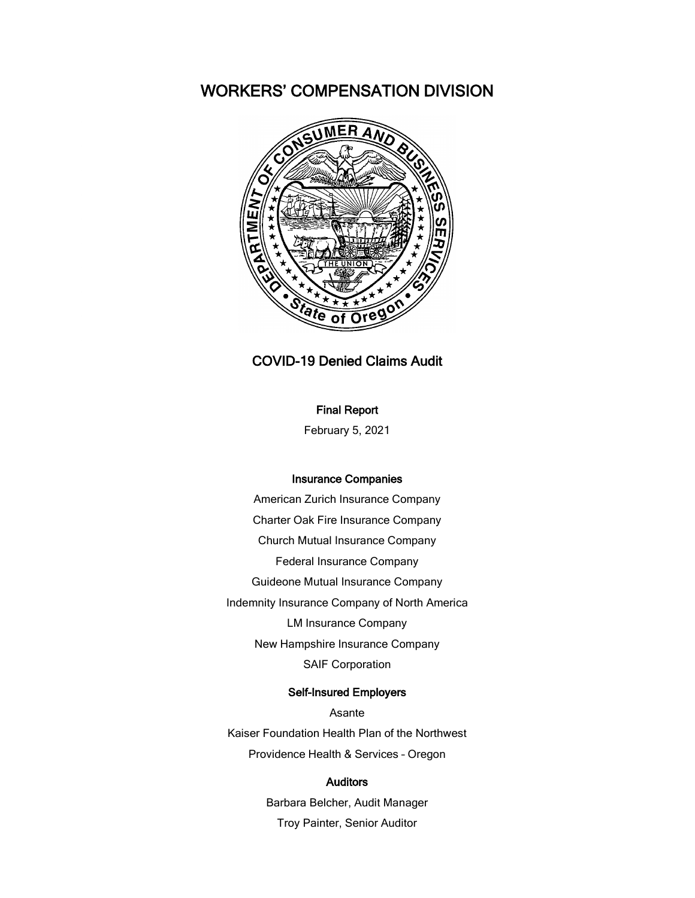# WORKERS' COMPENSATION DIVISION



## COVID-19 Denied Claims Audit

## Final Report

February 5, 2021

#### Insurance Companies

American Zurich Insurance Company Charter Oak Fire Insurance Company Church Mutual Insurance Company Federal Insurance Company Guideone Mutual Insurance Company Indemnity Insurance Company of North America LM Insurance Company New Hampshire Insurance Company SAIF Corporation

## Self-Insured Employers

Asante Kaiser Foundation Health Plan of the Northwest Providence Health & Services – Oregon

#### Auditors

Barbara Belcher, Audit Manager Troy Painter, Senior Auditor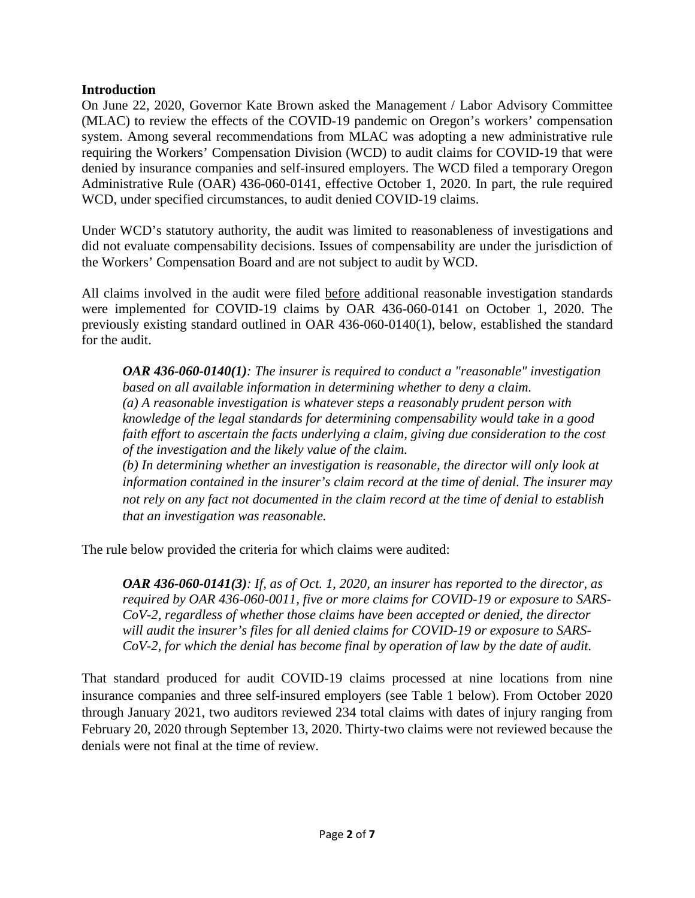On June 22, 2020, Governor Kate Brown asked the Management / Labor Advisory Committee (MLAC) to review the effects of the COVID-19 pandemic on Oregon's workers' compensation system. Among several recommendations from MLAC was adopting a new administrative rule requiring the Workers' Compensation Division (WCD) to audit claims for COVID-19 that were denied by insurance companies and self-insured employers. The WCD filed a temporary Oregon Administrative Rule (OAR) 436-060-0141, effective October 1, 2020. In part, the rule required WCD, under specified circumstances, to audit denied COVID-19 claims.

Under WCD's statutory authority, the audit was limited to reasonableness of investigations and did not evaluate compensability decisions. Issues of compensability are under the jurisdiction of the Workers' Compensation Board and are not subject to audit by WCD.

All claims involved in the audit were filed before additional reasonable investigation standards were implemented for COVID-19 claims by OAR 436-060-0141 on October 1, 2020. The previously existing standard outlined in OAR 436-060-0140(1), below, established the standard for the audit.

*OAR 436-060-0140(1): The insurer is required to conduct a "reasonable" investigation based on all available information in determining whether to deny a claim. (a) A reasonable investigation is whatever steps a reasonably prudent person with knowledge of the legal standards for determining compensability would take in a good faith effort to ascertain the facts underlying a claim, giving due consideration to the cost of the investigation and the likely value of the claim. (b) In determining whether an investigation is reasonable, the director will only look at information contained in the insurer's claim record at the time of denial. The insurer may not rely on any fact not documented in the claim record at the time of denial to establish* 

*that an investigation was reasonable.*

The rule below provided the criteria for which claims were audited:

*OAR 436-060-0141(3): If, as of Oct. 1, 2020, an insurer has reported to the director, as required by OAR 436-060-0011, five or more claims for COVID-19 or exposure to SARS-CoV-2, regardless of whether those claims have been accepted or denied, the director will audit the insurer's files for all denied claims for COVID-19 or exposure to SARS-CoV-2, for which the denial has become final by operation of law by the date of audit.* 

That standard produced for audit COVID-19 claims processed at nine locations from nine insurance companies and three self-insured employers (see Table 1 below). From October 2020 through January 2021, two auditors reviewed 234 total claims with dates of injury ranging from February 20, 2020 through September 13, 2020. Thirty-two claims were not reviewed because the denials were not final at the time of review.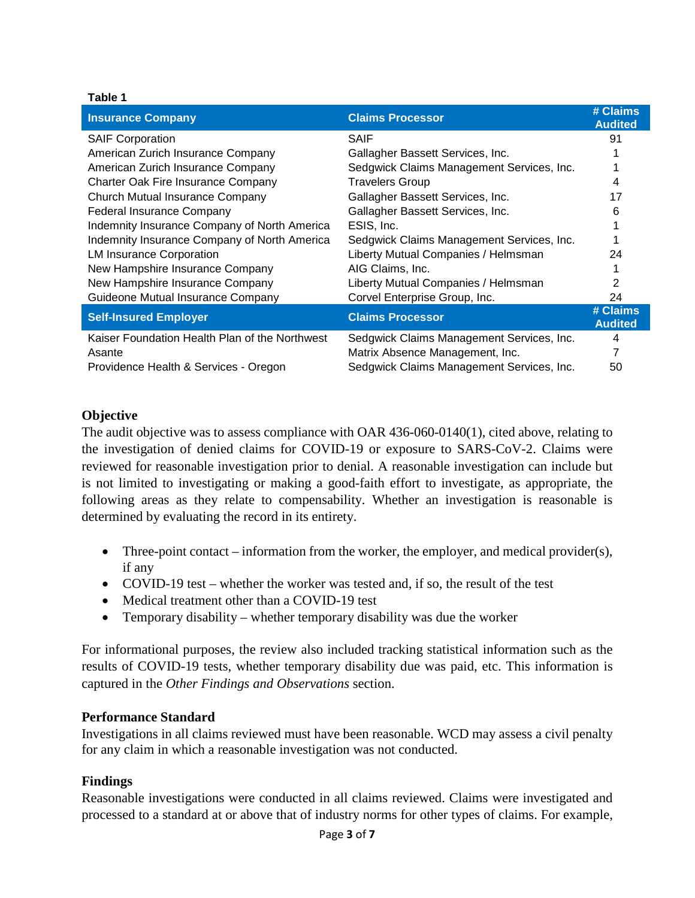## **Table 1**

| <b>Insurance Company</b>                       | <b>Claims Processor</b>                   | # Claims<br><b>Audited</b> |
|------------------------------------------------|-------------------------------------------|----------------------------|
| <b>SAIF Corporation</b>                        | <b>SAIF</b>                               | 91                         |
| American Zurich Insurance Company              | Gallagher Bassett Services, Inc.          |                            |
| American Zurich Insurance Company              | Sedgwick Claims Management Services, Inc. |                            |
| Charter Oak Fire Insurance Company             | <b>Travelers Group</b>                    | 4                          |
| Church Mutual Insurance Company                | Gallagher Bassett Services, Inc.          | 17                         |
| <b>Federal Insurance Company</b>               | Gallagher Bassett Services, Inc.          | 6                          |
| Indemnity Insurance Company of North America   | ESIS, Inc.                                |                            |
| Indemnity Insurance Company of North America   | Sedgwick Claims Management Services, Inc. |                            |
| <b>LM Insurance Corporation</b>                | Liberty Mutual Companies / Helmsman       | 24                         |
| New Hampshire Insurance Company                | AIG Claims, Inc.                          |                            |
| New Hampshire Insurance Company                | Liberty Mutual Companies / Helmsman       | 2                          |
| Guideone Mutual Insurance Company              | Corvel Enterprise Group, Inc.             | 24                         |
| <b>Self-Insured Employer</b>                   | <b>Claims Processor</b>                   | # Claims<br><b>Audited</b> |
| Kaiser Foundation Health Plan of the Northwest | Sedgwick Claims Management Services, Inc. | 4                          |
| Asante                                         | Matrix Absence Management, Inc.           |                            |
| Providence Health & Services - Oregon          | Sedgwick Claims Management Services, Inc. | 50                         |

## **Objective**

The audit objective was to assess compliance with OAR 436-060-0140(1), cited above, relating to the investigation of denied claims for COVID-19 or exposure to SARS-CoV-2. Claims were reviewed for reasonable investigation prior to denial. A reasonable investigation can include but is not limited to investigating or making a good-faith effort to investigate, as appropriate, the following areas as they relate to compensability. Whether an investigation is reasonable is determined by evaluating the record in its entirety.

- Three-point contact information from the worker, the employer, and medical provider(s), if any
- COVID-19 test whether the worker was tested and, if so, the result of the test
- Medical treatment other than a COVID-19 test
- Temporary disability whether temporary disability was due the worker

For informational purposes, the review also included tracking statistical information such as the results of COVID-19 tests, whether temporary disability due was paid, etc. This information is captured in the *Other Findings and Observations* section.

## **Performance Standard**

Investigations in all claims reviewed must have been reasonable. WCD may assess a civil penalty for any claim in which a reasonable investigation was not conducted.

## **Findings**

Reasonable investigations were conducted in all claims reviewed. Claims were investigated and processed to a standard at or above that of industry norms for other types of claims. For example,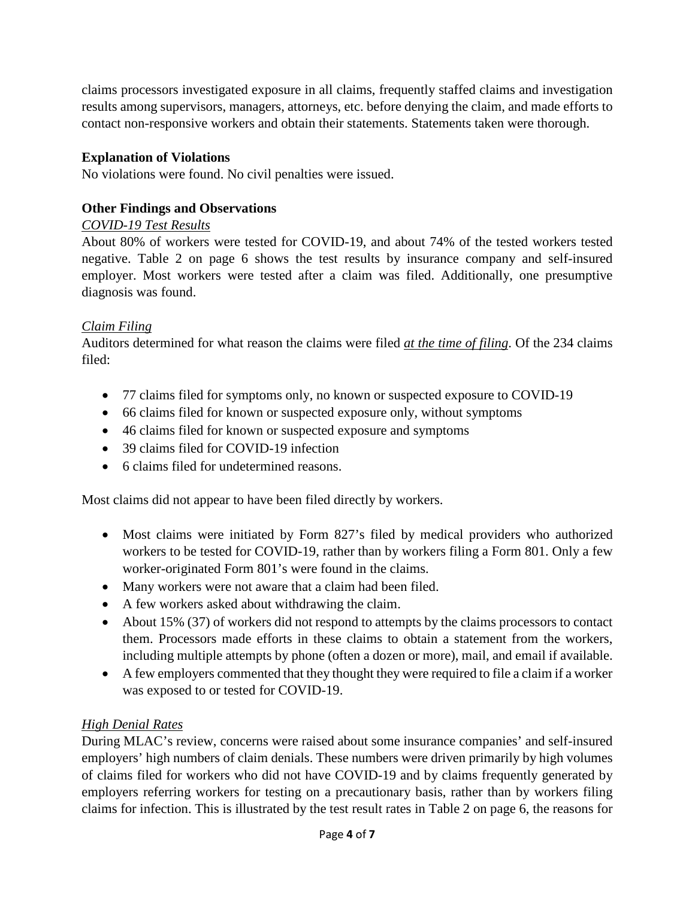claims processors investigated exposure in all claims, frequently staffed claims and investigation results among supervisors, managers, attorneys, etc. before denying the claim, and made efforts to contact non-responsive workers and obtain their statements. Statements taken were thorough.

# **Explanation of Violations**

No violations were found. No civil penalties were issued.

# **Other Findings and Observations**

# *COVID-19 Test Results*

About 80% of workers were tested for COVID-19, and about 74% of the tested workers tested negative. Table 2 on page 6 shows the test results by insurance company and self-insured employer. Most workers were tested after a claim was filed. Additionally, one presumptive diagnosis was found.

# *Claim Filing*

Auditors determined for what reason the claims were filed *at the time of filing*. Of the 234 claims filed:

- 77 claims filed for symptoms only, no known or suspected exposure to COVID-19
- 66 claims filed for known or suspected exposure only, without symptoms
- 46 claims filed for known or suspected exposure and symptoms
- 39 claims filed for COVID-19 infection
- 6 claims filed for undetermined reasons.

Most claims did not appear to have been filed directly by workers.

- Most claims were initiated by Form 827's filed by medical providers who authorized workers to be tested for COVID-19, rather than by workers filing a Form 801. Only a few worker-originated Form 801's were found in the claims.
- Many workers were not aware that a claim had been filed.
- A few workers asked about withdrawing the claim.
- About 15% (37) of workers did not respond to attempts by the claims processors to contact them. Processors made efforts in these claims to obtain a statement from the workers, including multiple attempts by phone (often a dozen or more), mail, and email if available.
- A few employers commented that they thought they were required to file a claim if a worker was exposed to or tested for COVID-19.

# *High Denial Rates*

During MLAC's review, concerns were raised about some insurance companies' and self-insured employers' high numbers of claim denials. These numbers were driven primarily by high volumes of claims filed for workers who did not have COVID-19 and by claims frequently generated by employers referring workers for testing on a precautionary basis, rather than by workers filing claims for infection. This is illustrated by the test result rates in Table 2 on page 6, the reasons for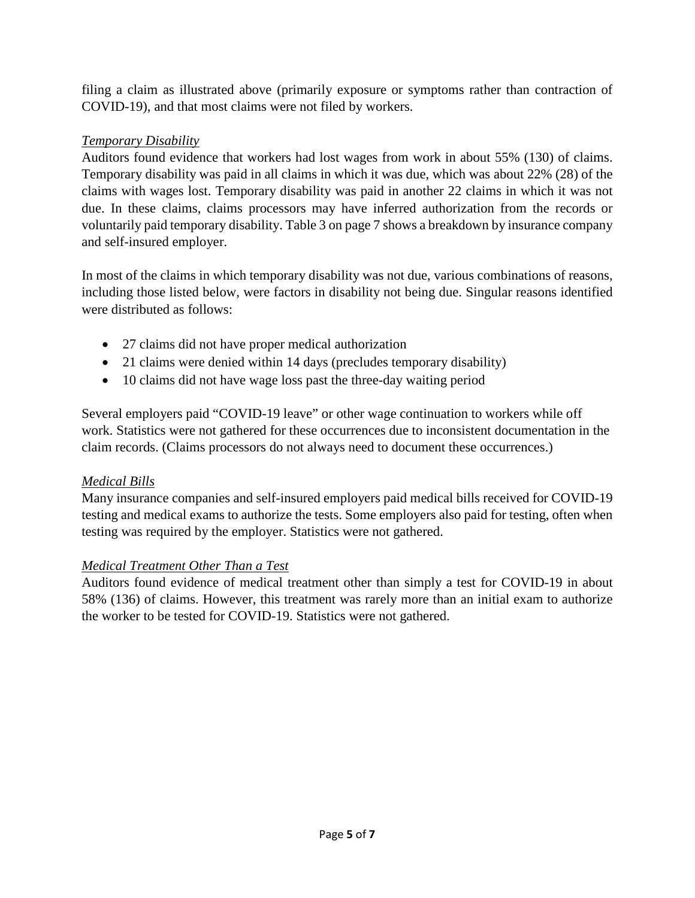filing a claim as illustrated above (primarily exposure or symptoms rather than contraction of COVID-19), and that most claims were not filed by workers.

# *Temporary Disability*

Auditors found evidence that workers had lost wages from work in about 55% (130) of claims. Temporary disability was paid in all claims in which it was due, which was about 22% (28) of the claims with wages lost. Temporary disability was paid in another 22 claims in which it was not due. In these claims, claims processors may have inferred authorization from the records or voluntarily paid temporary disability. Table 3 on page 7 shows a breakdown by insurance company and self-insured employer.

In most of the claims in which temporary disability was not due, various combinations of reasons, including those listed below, were factors in disability not being due. Singular reasons identified were distributed as follows:

- 27 claims did not have proper medical authorization
- 21 claims were denied within 14 days (precludes temporary disability)
- 10 claims did not have wage loss past the three-day waiting period

Several employers paid "COVID-19 leave" or other wage continuation to workers while off work. Statistics were not gathered for these occurrences due to inconsistent documentation in the claim records. (Claims processors do not always need to document these occurrences.)

# *Medical Bills*

Many insurance companies and self-insured employers paid medical bills received for COVID-19 testing and medical exams to authorize the tests. Some employers also paid for testing, often when testing was required by the employer. Statistics were not gathered.

# *Medical Treatment Other Than a Test*

Auditors found evidence of medical treatment other than simply a test for COVID-19 in about 58% (136) of claims. However, this treatment was rarely more than an initial exam to authorize the worker to be tested for COVID-19. Statistics were not gathered.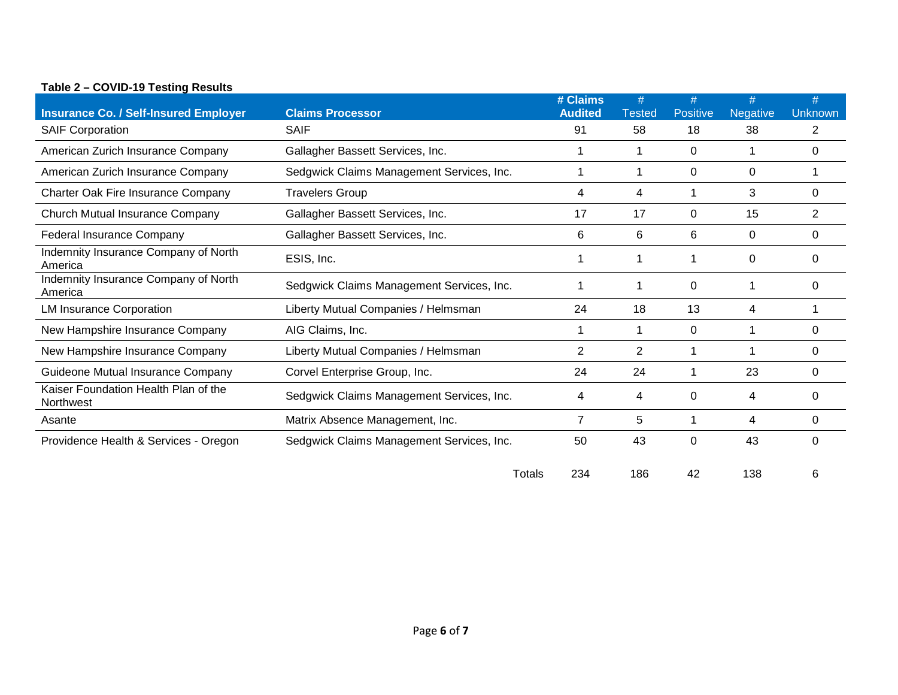| <b>Insurance Co. / Self-Insured Employer</b>      | <b>Claims Processor</b>                   | # Claims<br><b>Audited</b> | #<br><b>Tested</b> | #<br><b>Positive</b> | #<br>Negative | #<br><b>Unknown</b> |
|---------------------------------------------------|-------------------------------------------|----------------------------|--------------------|----------------------|---------------|---------------------|
| <b>SAIF Corporation</b>                           | <b>SAIF</b>                               | 91                         | 58                 | 18                   | 38            | 2                   |
| American Zurich Insurance Company                 | Gallagher Bassett Services, Inc.          |                            |                    | 0                    |               | 0                   |
| American Zurich Insurance Company                 | Sedgwick Claims Management Services, Inc. |                            |                    | 0                    | 0             |                     |
| Charter Oak Fire Insurance Company                | <b>Travelers Group</b>                    | 4                          | 4                  |                      | 3             | $\Omega$            |
| Church Mutual Insurance Company                   | Gallagher Bassett Services, Inc.          | 17                         | 17                 | 0                    | 15            | $\overline{2}$      |
| <b>Federal Insurance Company</b>                  | Gallagher Bassett Services, Inc.          | 6                          | 6                  | 6                    | 0             | 0                   |
| Indemnity Insurance Company of North<br>America   | ESIS, Inc.                                |                            |                    |                      | 0             |                     |
| Indemnity Insurance Company of North<br>America   | Sedgwick Claims Management Services, Inc. |                            |                    | 0                    | 1             | O                   |
| <b>LM Insurance Corporation</b>                   | Liberty Mutual Companies / Helmsman       | 24                         | 18                 | 13                   | 4             |                     |
| New Hampshire Insurance Company                   | AIG Claims, Inc.                          |                            |                    | 0                    |               | 0                   |
| New Hampshire Insurance Company                   | Liberty Mutual Companies / Helmsman       | 2                          | 2                  |                      | 1             | 0                   |
| Guideone Mutual Insurance Company                 | Corvel Enterprise Group, Inc.             | 24                         | 24                 |                      | 23            | 0                   |
| Kaiser Foundation Health Plan of the<br>Northwest | Sedgwick Claims Management Services, Inc. | 4                          | 4                  | 0                    | 4             | $\Omega$            |
| Asante                                            | Matrix Absence Management, Inc.           | 7                          | 5                  |                      | 4             | 0                   |
| Providence Health & Services - Oregon             | Sedgwick Claims Management Services, Inc. | 50                         | 43                 | 0                    | 43            | 0                   |

## **Table 2 – COVID-19 Testing Results**

Totals 234 186 42 138 6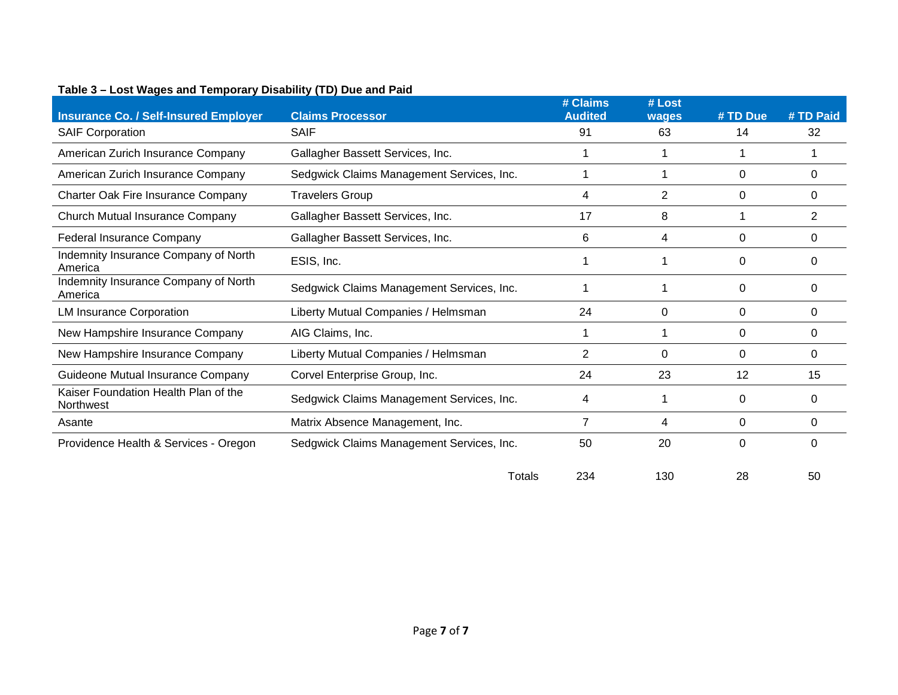| <b>Insurance Co. / Self-Insured Employer</b>      | <b>Claims Processor</b>                   | # Claims<br><b>Audited</b> | # Lost      | # TD Due | # TD Paid |
|---------------------------------------------------|-------------------------------------------|----------------------------|-------------|----------|-----------|
|                                                   | <b>SAIF</b>                               | 91                         | wages<br>63 | 14       | 32        |
| <b>SAIF Corporation</b>                           |                                           |                            |             |          |           |
| American Zurich Insurance Company                 | Gallagher Bassett Services, Inc.          |                            |             |          |           |
| American Zurich Insurance Company                 | Sedgwick Claims Management Services, Inc. |                            |             | 0        | 0         |
| Charter Oak Fire Insurance Company                | <b>Travelers Group</b>                    | 4                          | 2           | $\Omega$ | 0         |
| Church Mutual Insurance Company                   | Gallagher Bassett Services, Inc.          | 17                         | 8           |          | 2         |
| Federal Insurance Company                         | Gallagher Bassett Services, Inc.          | 6                          | 4           | 0        | 0         |
| Indemnity Insurance Company of North<br>America   | ESIS, Inc.                                |                            |             | $\Omega$ | $\Omega$  |
| Indemnity Insurance Company of North<br>America   | Sedgwick Claims Management Services, Inc. |                            |             | $\Omega$ | 0         |
| <b>LM Insurance Corporation</b>                   | Liberty Mutual Companies / Helmsman       | 24                         | 0           | 0        | 0         |
| New Hampshire Insurance Company                   | AIG Claims, Inc.                          |                            |             | $\Omega$ | $\Omega$  |
| New Hampshire Insurance Company                   | Liberty Mutual Companies / Helmsman       | $\overline{2}$             | $\Omega$    | $\Omega$ | $\Omega$  |
| Guideone Mutual Insurance Company                 | Corvel Enterprise Group, Inc.             | 24                         | 23          | 12       | 15        |
| Kaiser Foundation Health Plan of the<br>Northwest | Sedgwick Claims Management Services, Inc. | 4                          |             | 0        | 0         |
| Asante                                            | Matrix Absence Management, Inc.           | 7                          | 4           | $\Omega$ | $\Omega$  |
| Providence Health & Services - Oregon             | Sedgwick Claims Management Services, Inc. | 50                         | 20          | $\Omega$ | $\Omega$  |
|                                                   | Totals                                    | 234                        | 130         | 28       | 50        |

## **Table 3 – Lost Wages and Temporary Disability (TD) Due and Paid**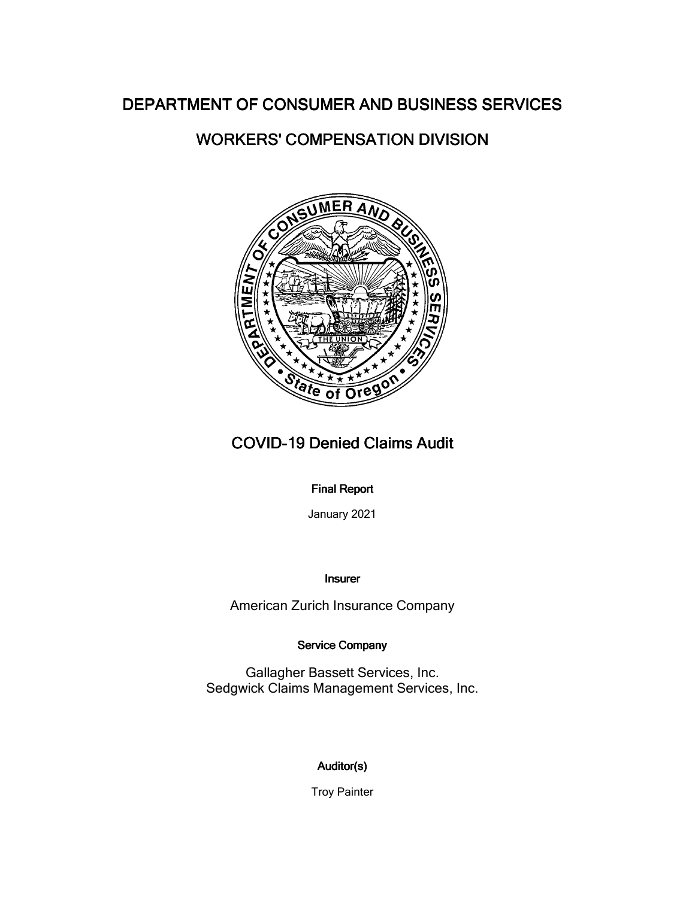# WORKERS' COMPENSATION DIVISION



# **COVID-19 Denied Claims Audit**

## **Final Report**

January 2021

Insurer

American Zurich Insurance Company

## Service Company

Gallagher Bassett Services, Inc. Sedgwick Claims Management Services, Inc.

# Auditor(s)

Troy Painter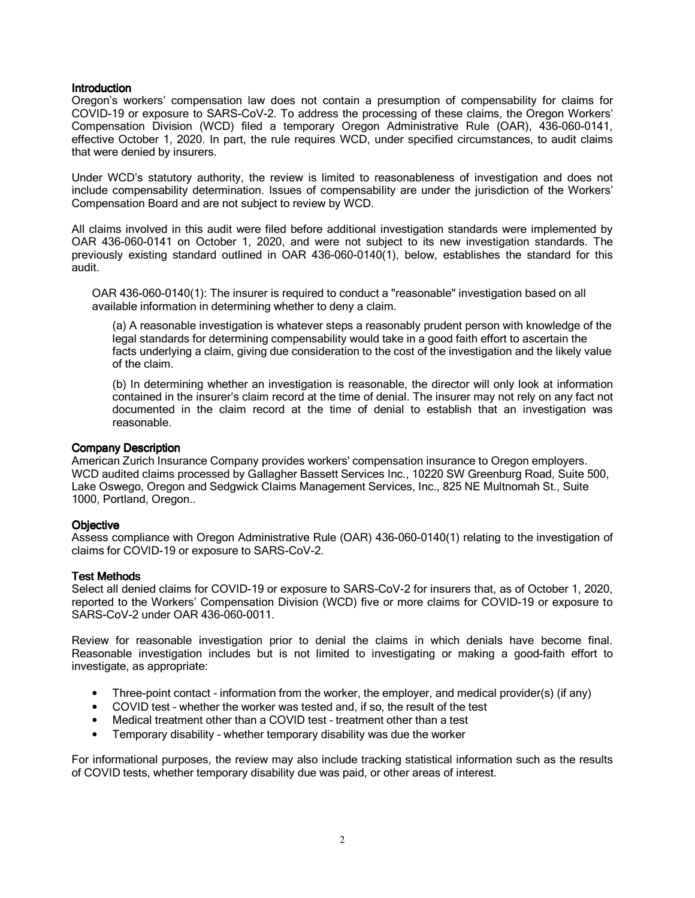Oregon's workers' compensation law does not contain a presumption of compensability for claims for COVID-19 or exposure to SARS-CoV-2. To address the processing of these claims, the Oregon Workers' Compensation Division (WCD) filed a temporary Oregon Administrative Rule (OAR), 436-060-0141, effective October 1, 2020. In part, the rule requires WCD, under specified circumstances, to audit claims that were denied by insurers.

Under WCD's statutory authority, the review is limited to reasonableness of investigation and does not include compensability determination. Issues of compensability are under the jurisdiction of the Workers' Compensation Board and are not subject to review by WCD.

All claims involved in this audit were filed before additional investigation standards were implemented by OAR 436-060-0141 on October 1, 2020, and were not subject to its new investigation standards. The previously existing standard outlined in OAR 436-060-0140(1), below, establishes the standard for this audit.

OAR 436-060-0140(1): The insurer is required to conduct a "reasonable" investigation based on all available information in determining whether to deny a claim.

(a) A reasonable investigation is whatever steps a reasonably prudent person with knowledge of the legal standards for determining compensability would take in a good faith effort to ascertain the facts underlying a claim, giving due consideration to the cost of the investigation and the likely value of the claim.

(b) In determining whether an investigation is reasonable, the director will only look at information contained in the insurer's claim record at the time of denial. The insurer may not rely on any fact not documented in the claim record at the time of denial to establish that an investigation was reasonable.

#### Company Description

American Zurich Insurance Company provides workers' compensation insurance to Oregon employers. WCD audited claims processed by Gallagher Bassett Services Inc., 10220 SW Greenburg Road, Suite 500, Lake Oswego, Oregon and Sedgwick Claims Management Services, Inc., 825 NE Multnomah St., Suite 1000, Portland, Oregon..

## **Objective**

Assess compliance with Oregon Administrative Rule (OAR) 436-060-0140(1) relating to the investigation of claims for COVID-19 or exposure to SARS-CoV-2.

#### **Test Methods**

Select all denied claims for COVID-19 or exposure to SARS-CoV-2 for insurers that, as of October 1, 2020, reported to the Workers' Compensation Division (WCD) five or more claims for COVID-19 or exposure to SARS-CoV-2 under OAR 436-060-0011.

Review for reasonable investigation prior to denial the claims in which denials have become final. Reasonable investigation includes but is not limited to investigating or making a good-faith effort to investigate, as appropriate:

- Three-point contact information from the worker, the employer, and medical provider(s) (if any)
- COVID test whether the worker was tested and, if so, the result of the test
- Medical treatment other than a COVID test treatment other than a test
- Temporary disability whether temporary disability was due the worker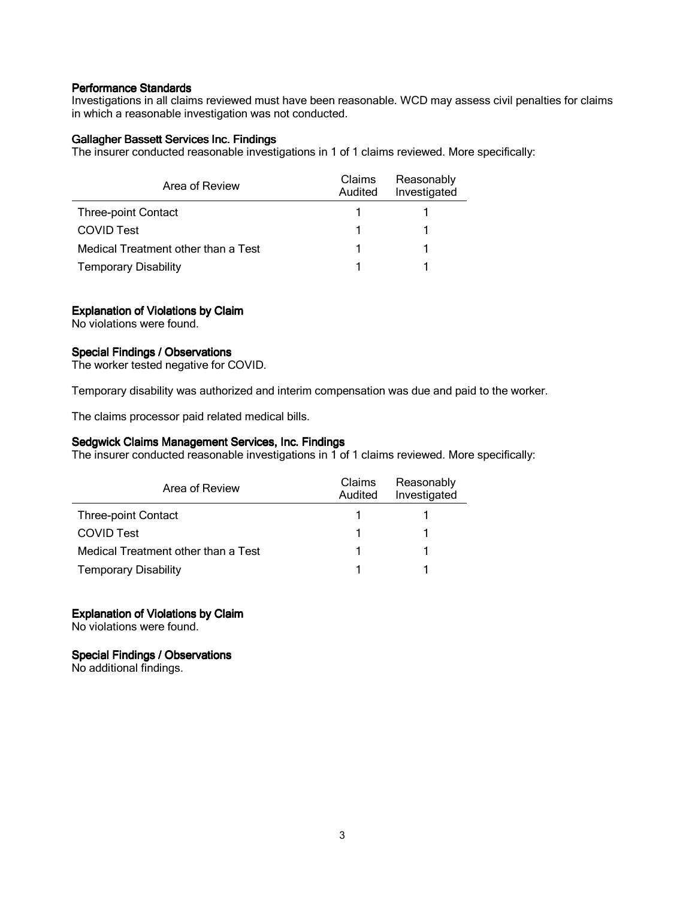Investigations in all claims reviewed must have been reasonable. WCD may assess civil penalties for claims in which a reasonable investigation was not conducted.

### Gallagher Bassett Services Inc. Findings

The insurer conducted reasonable investigations in 1 of 1 claims reviewed. More specifically:

| Area of Review                      | <b>Claims</b><br>Audited | Reasonably<br>Investigated |
|-------------------------------------|--------------------------|----------------------------|
| <b>Three-point Contact</b>          |                          |                            |
| <b>COVID Test</b>                   |                          |                            |
| Medical Treatment other than a Test |                          |                            |
| <b>Temporary Disability</b>         |                          |                            |

## Explanation of Violations by Claim

No violations were found.

## Special Findings / Observations

The worker tested negative for COVID.

Temporary disability was authorized and interim compensation was due and paid to the worker.

The claims processor paid related medical bills.

## Sedgwick Claims Management Services, Inc. Findings

The insurer conducted reasonable investigations in 1 of 1 claims reviewed. More specifically:

| Area of Review                      | Claims<br>Audited | Reasonably<br>Investigated |
|-------------------------------------|-------------------|----------------------------|
| <b>Three-point Contact</b>          |                   |                            |
| <b>COVID Test</b>                   |                   |                            |
| Medical Treatment other than a Test |                   |                            |
| <b>Temporary Disability</b>         |                   |                            |

## Explanation of Violations by Claim

No violations were found.

### Special Findings / Observations

No additional findings.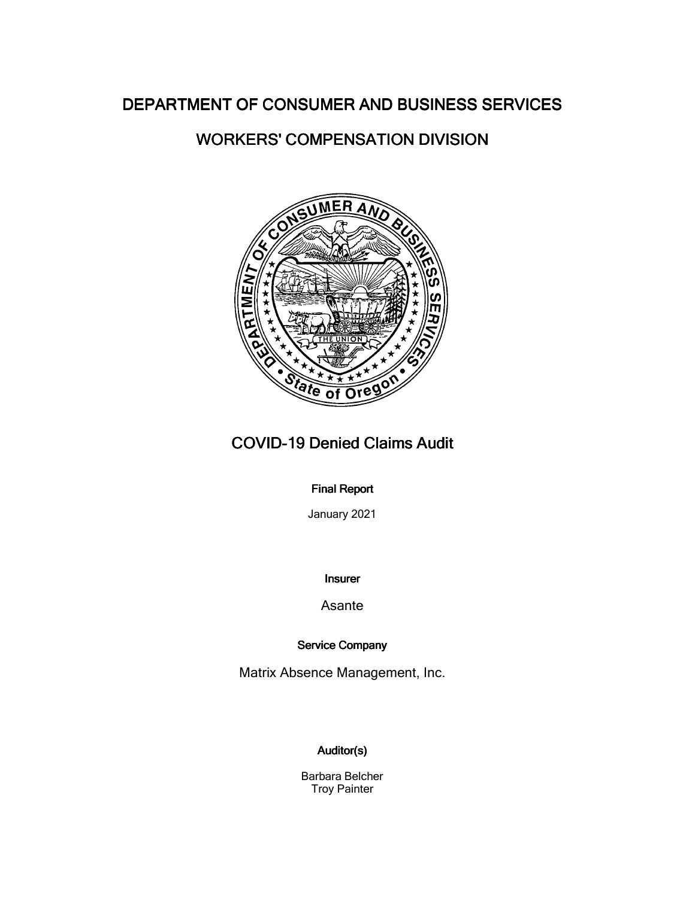# WORKERS' COMPENSATION DIVISION



# COVID-19 Denied Claims Audit

## **Final Report**

January 2021

## Insurer

## Asante

## Service Company

Matrix Absence Management, Inc.

# Auditor(s)

Barbara Belcher Troy Painter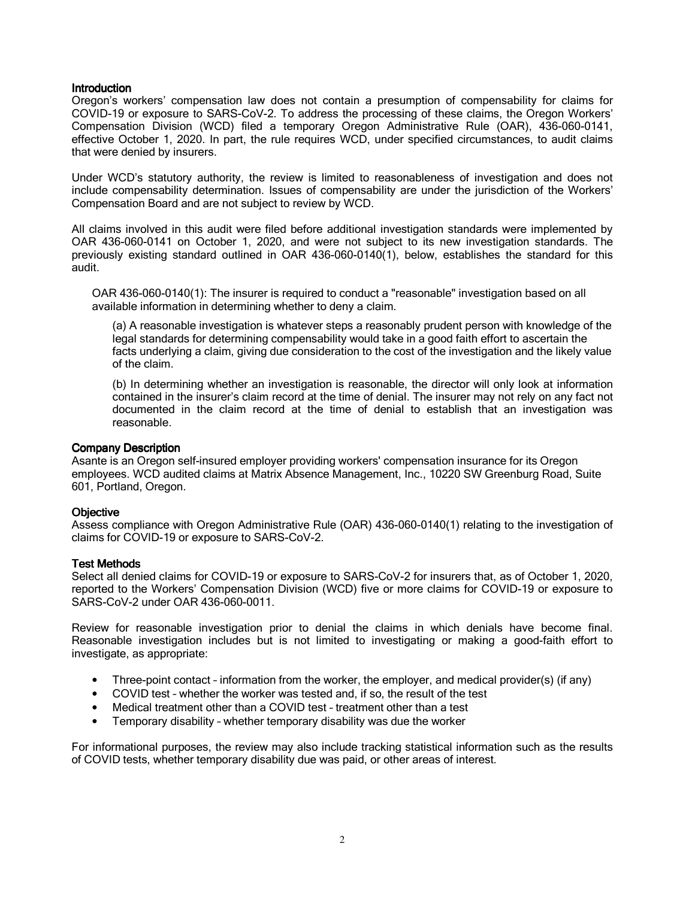Oregon's workers' compensation law does not contain a presumption of compensability for claims for COVID-19 or exposure to SARS-CoV-2. To address the processing of these claims, the Oregon Workers' Compensation Division (WCD) filed a temporary Oregon Administrative Rule (OAR), 436-060-0141, effective October 1, 2020. In part, the rule requires WCD, under specified circumstances, to audit claims that were denied by insurers.

Under WCD's statutory authority, the review is limited to reasonableness of investigation and does not include compensability determination. Issues of compensability are under the jurisdiction of the Workers' Compensation Board and are not subject to review by WCD.

All claims involved in this audit were filed before additional investigation standards were implemented by OAR 436-060-0141 on October 1, 2020, and were not subject to its new investigation standards. The previously existing standard outlined in OAR 436-060-0140(1), below, establishes the standard for this audit.

OAR 436-060-0140(1): The insurer is required to conduct a "reasonable" investigation based on all available information in determining whether to deny a claim.

(a) A reasonable investigation is whatever steps a reasonably prudent person with knowledge of the legal standards for determining compensability would take in a good faith effort to ascertain the facts underlying a claim, giving due consideration to the cost of the investigation and the likely value of the claim.

(b) In determining whether an investigation is reasonable, the director will only look at information contained in the insurer's claim record at the time of denial. The insurer may not rely on any fact not documented in the claim record at the time of denial to establish that an investigation was reasonable.

#### Company Description

Asante is an Oregon self-insured employer providing workers' compensation insurance for its Oregon employees. WCD audited claims at Matrix Absence Management, Inc., 10220 SW Greenburg Road, Suite 601, Portland, Oregon.

## **Objective**

Assess compliance with Oregon Administrative Rule (OAR) 436-060-0140(1) relating to the investigation of claims for COVID-19 or exposure to SARS-CoV-2.

#### **Test Methods**

Select all denied claims for COVID-19 or exposure to SARS-CoV-2 for insurers that, as of October 1, 2020, reported to the Workers' Compensation Division (WCD) five or more claims for COVID-19 or exposure to SARS-CoV-2 under OAR 436-060-0011.

Review for reasonable investigation prior to denial the claims in which denials have become final. Reasonable investigation includes but is not limited to investigating or making a good-faith effort to investigate, as appropriate:

- Three-point contact information from the worker, the employer, and medical provider(s) (if any)
- COVID test whether the worker was tested and, if so, the result of the test
- Medical treatment other than a COVID test treatment other than a test
- Temporary disability whether temporary disability was due the worker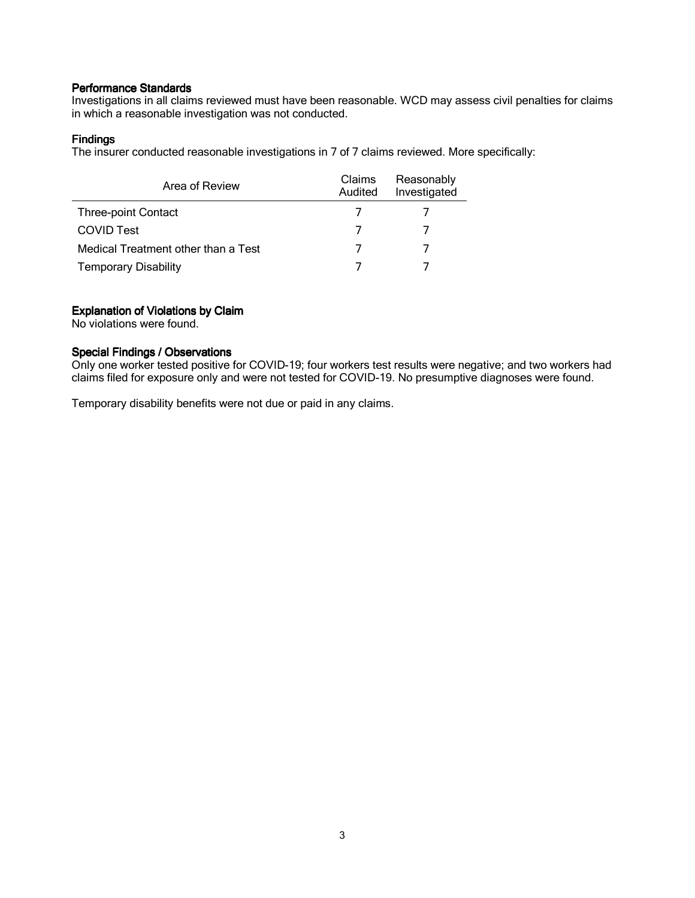Investigations in all claims reviewed must have been reasonable. WCD may assess civil penalties for claims in which a reasonable investigation was not conducted.

## **Findings**

The insurer conducted reasonable investigations in 7 of 7 claims reviewed. More specifically:

| Area of Review                      | Claims<br>Audited | Reasonably<br>Investigated |
|-------------------------------------|-------------------|----------------------------|
| <b>Three-point Contact</b>          |                   |                            |
| <b>COVID Test</b>                   |                   |                            |
| Medical Treatment other than a Test |                   |                            |
| <b>Temporary Disability</b>         |                   |                            |

## Explanation of Violations by Claim

No violations were found.

## Special Findings / Observations

Only one worker tested positive for COVID-19; four workers test results were negative; and two workers had claims filed for exposure only and were not tested for COVID-19. No presumptive diagnoses were found.

Temporary disability benefits were not due or paid in any claims.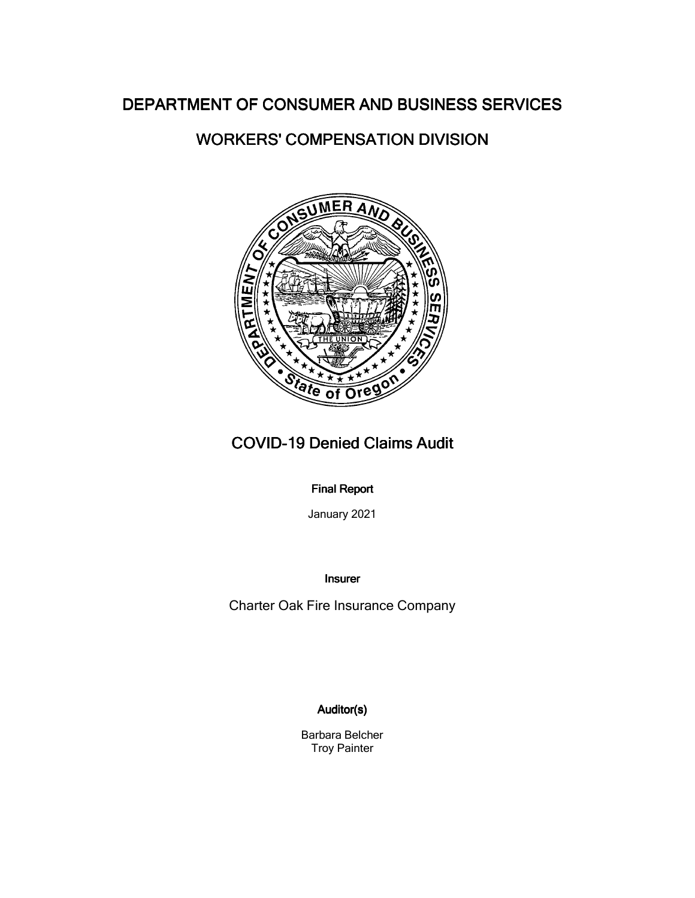# WORKERS' COMPENSATION DIVISION



# COVID-19 Denied Claims Audit

## **Final Report**

January 2021

Insurer

Charter Oak Fire Insurance Company

## Auditor(s)

Barbara Belcher Troy Painter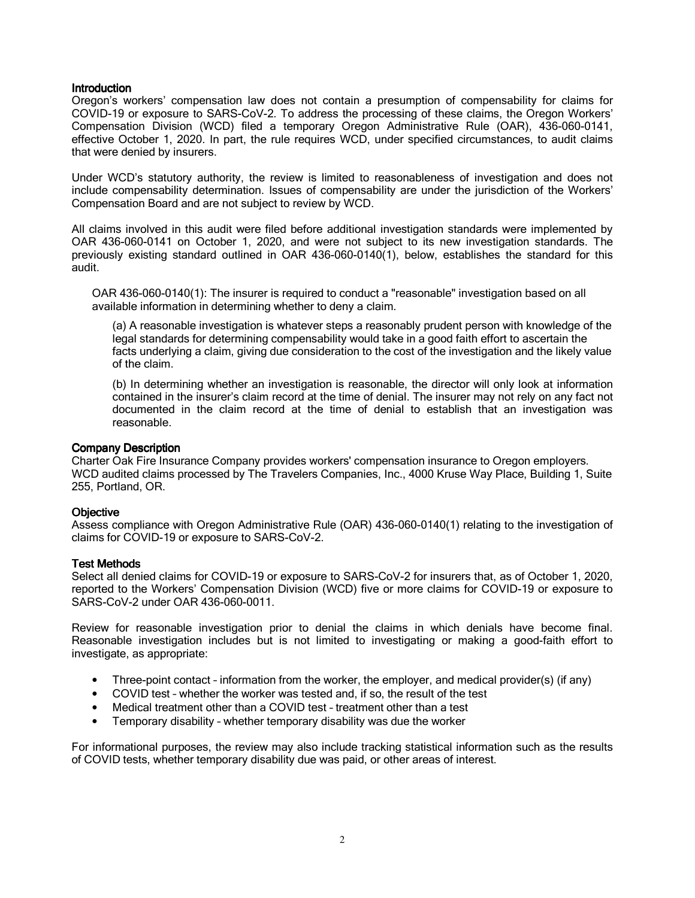Oregon's workers' compensation law does not contain a presumption of compensability for claims for COVID-19 or exposure to SARS-CoV-2. To address the processing of these claims, the Oregon Workers' Compensation Division (WCD) filed a temporary Oregon Administrative Rule (OAR), 436-060-0141, effective October 1, 2020. In part, the rule requires WCD, under specified circumstances, to audit claims that were denied by insurers.

Under WCD's statutory authority, the review is limited to reasonableness of investigation and does not include compensability determination. Issues of compensability are under the jurisdiction of the Workers' Compensation Board and are not subject to review by WCD.

All claims involved in this audit were filed before additional investigation standards were implemented by OAR 436-060-0141 on October 1, 2020, and were not subject to its new investigation standards. The previously existing standard outlined in OAR 436-060-0140(1), below, establishes the standard for this audit.

OAR 436-060-0140(1): The insurer is required to conduct a "reasonable" investigation based on all available information in determining whether to deny a claim.

(a) A reasonable investigation is whatever steps a reasonably prudent person with knowledge of the legal standards for determining compensability would take in a good faith effort to ascertain the facts underlying a claim, giving due consideration to the cost of the investigation and the likely value of the claim.

(b) In determining whether an investigation is reasonable, the director will only look at information contained in the insurer's claim record at the time of denial. The insurer may not rely on any fact not documented in the claim record at the time of denial to establish that an investigation was reasonable.

#### Company Description

Charter Oak Fire Insurance Company provides workers' compensation insurance to Oregon employers. WCD audited claims processed by The Travelers Companies, Inc., 4000 Kruse Way Place, Building 1, Suite 255, Portland, OR.

## **Objective**

Assess compliance with Oregon Administrative Rule (OAR) 436-060-0140(1) relating to the investigation of claims for COVID-19 or exposure to SARS-CoV-2.

#### **Test Methods**

Select all denied claims for COVID-19 or exposure to SARS-CoV-2 for insurers that, as of October 1, 2020, reported to the Workers' Compensation Division (WCD) five or more claims for COVID-19 or exposure to SARS-CoV-2 under OAR 436-060-0011.

Review for reasonable investigation prior to denial the claims in which denials have become final. Reasonable investigation includes but is not limited to investigating or making a good-faith effort to investigate, as appropriate:

- Three-point contact information from the worker, the employer, and medical provider(s) (if any)
- COVID test whether the worker was tested and, if so, the result of the test
- Medical treatment other than a COVID test treatment other than a test
- Temporary disability whether temporary disability was due the worker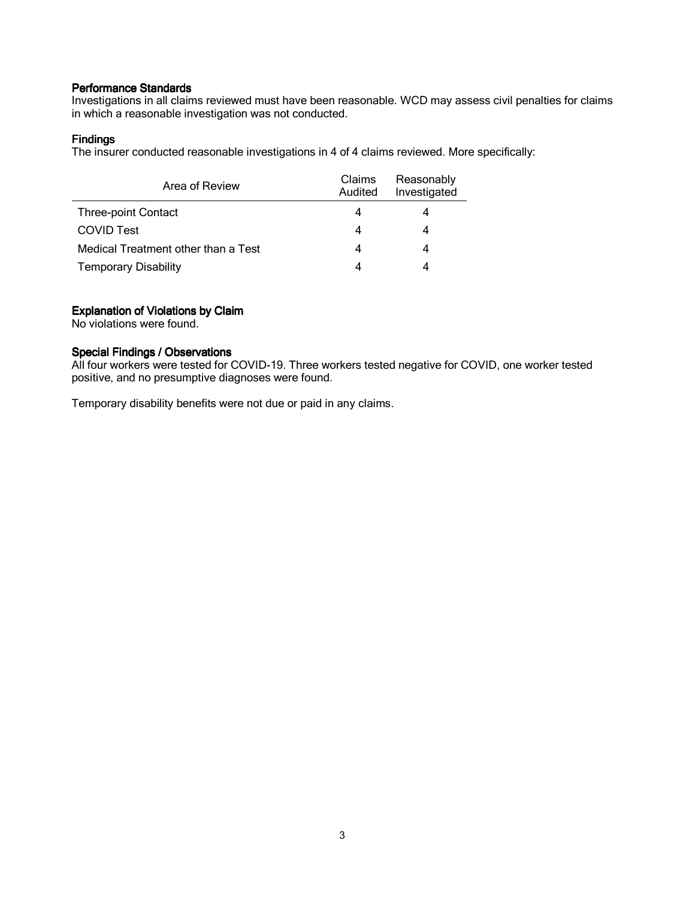Investigations in all claims reviewed must have been reasonable. WCD may assess civil penalties for claims in which a reasonable investigation was not conducted.

## **Findings**

The insurer conducted reasonable investigations in 4 of 4 claims reviewed. More specifically:

| Area of Review                      | Claims<br>Audited | Reasonably<br>Investigated |
|-------------------------------------|-------------------|----------------------------|
| <b>Three-point Contact</b>          | 4                 |                            |
| <b>COVID Test</b>                   | 4                 |                            |
| Medical Treatment other than a Test | 4                 |                            |
| <b>Temporary Disability</b>         |                   |                            |

## Explanation of Violations by Claim

No violations were found.

## Special Findings / Observations

All four workers were tested for COVID-19. Three workers tested negative for COVID, one worker tested positive, and no presumptive diagnoses were found.

Temporary disability benefits were not due or paid in any claims.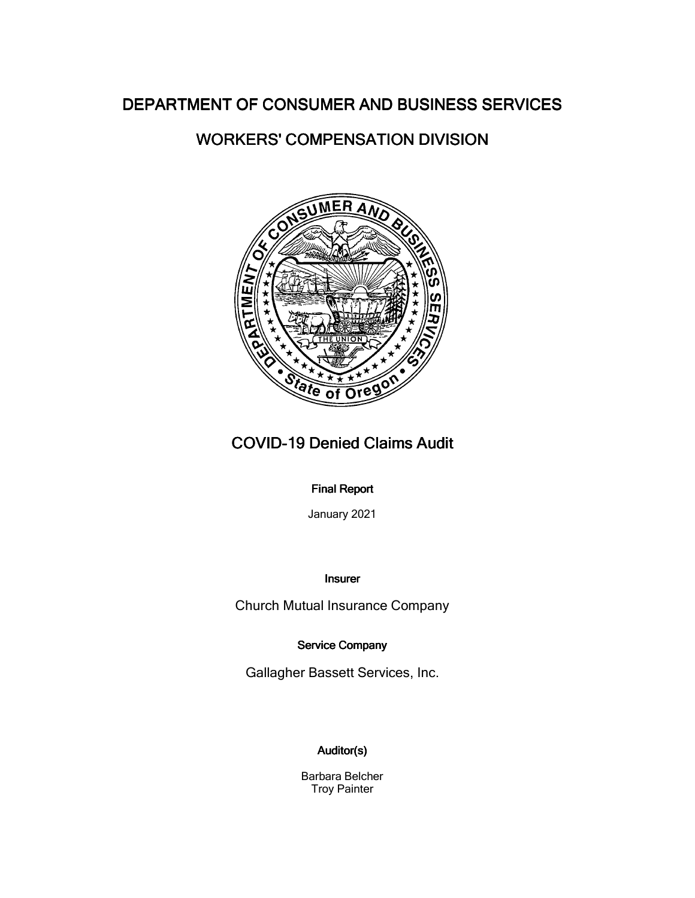# WORKERS' COMPENSATION DIVISION



# COVID-19 Denied Claims Audit

## **Final Report**

January 2021

## Insurer

Church Mutual Insurance Company

## Service Company

Gallagher Bassett Services, Inc.

# Auditor(s)

Barbara Belcher Troy Painter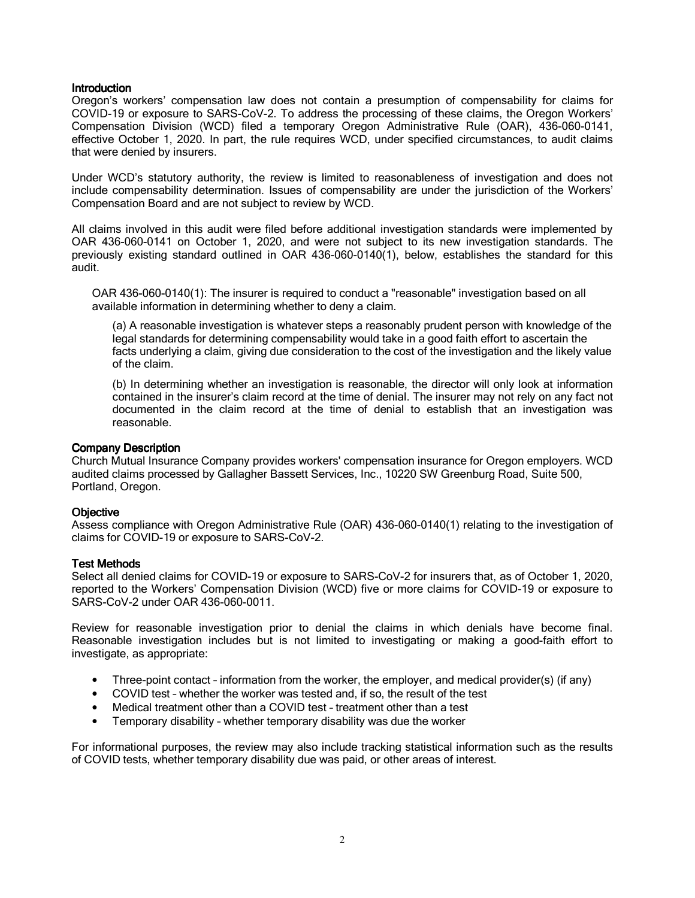Oregon's workers' compensation law does not contain a presumption of compensability for claims for COVID-19 or exposure to SARS-CoV-2. To address the processing of these claims, the Oregon Workers' Compensation Division (WCD) filed a temporary Oregon Administrative Rule (OAR), 436-060-0141, effective October 1, 2020. In part, the rule requires WCD, under specified circumstances, to audit claims that were denied by insurers.

Under WCD's statutory authority, the review is limited to reasonableness of investigation and does not include compensability determination. Issues of compensability are under the jurisdiction of the Workers' Compensation Board and are not subject to review by WCD.

All claims involved in this audit were filed before additional investigation standards were implemented by OAR 436-060-0141 on October 1, 2020, and were not subject to its new investigation standards. The previously existing standard outlined in OAR 436-060-0140(1), below, establishes the standard for this audit.

OAR 436-060-0140(1): The insurer is required to conduct a "reasonable" investigation based on all available information in determining whether to deny a claim.

(a) A reasonable investigation is whatever steps a reasonably prudent person with knowledge of the legal standards for determining compensability would take in a good faith effort to ascertain the facts underlying a claim, giving due consideration to the cost of the investigation and the likely value of the claim.

(b) In determining whether an investigation is reasonable, the director will only look at information contained in the insurer's claim record at the time of denial. The insurer may not rely on any fact not documented in the claim record at the time of denial to establish that an investigation was reasonable.

#### Company Description

Church Mutual Insurance Company provides workers' compensation insurance for Oregon employers. WCD audited claims processed by Gallagher Bassett Services, Inc., 10220 SW Greenburg Road, Suite 500, Portland, Oregon.

## **Objective**

Assess compliance with Oregon Administrative Rule (OAR) 436-060-0140(1) relating to the investigation of claims for COVID-19 or exposure to SARS-CoV-2.

#### **Test Methods**

Select all denied claims for COVID-19 or exposure to SARS-CoV-2 for insurers that, as of October 1, 2020, reported to the Workers' Compensation Division (WCD) five or more claims for COVID-19 or exposure to SARS-CoV-2 under OAR 436-060-0011.

Review for reasonable investigation prior to denial the claims in which denials have become final. Reasonable investigation includes but is not limited to investigating or making a good-faith effort to investigate, as appropriate:

- Three-point contact information from the worker, the employer, and medical provider(s) (if any)
- COVID test whether the worker was tested and, if so, the result of the test
- Medical treatment other than a COVID test treatment other than a test
- Temporary disability whether temporary disability was due the worker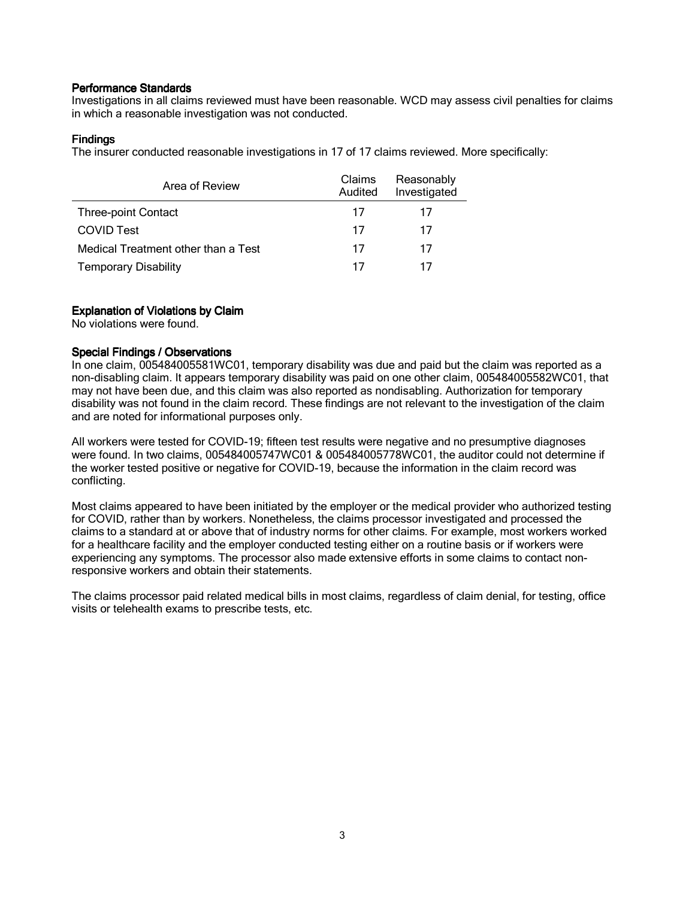Investigations in all claims reviewed must have been reasonable. WCD may assess civil penalties for claims in which a reasonable investigation was not conducted.

## **Findings**

The insurer conducted reasonable investigations in 17 of 17 claims reviewed. More specifically:

| Area of Review                      | Claims<br>Audited | Reasonably<br>Investigated |
|-------------------------------------|-------------------|----------------------------|
| <b>Three-point Contact</b>          | 17                |                            |
| <b>COVID Test</b>                   | 17                | 17                         |
| Medical Treatment other than a Test | 17                | 17                         |
| <b>Temporary Disability</b>         | 17                |                            |

## Explanation of Violations by Claim

No violations were found.

## Special Findings / Observations

In one claim, 005484005581WC01, temporary disability was due and paid but the claim was reported as a non-disabling claim. It appears temporary disability was paid on one other claim, 005484005582WC01, that may not have been due, and this claim was also reported as nondisabling. Authorization for temporary disability was not found in the claim record. These findings are not relevant to the investigation of the claim and are noted for informational purposes only.

All workers were tested for COVID-19; fifteen test results were negative and no presumptive diagnoses were found. In two claims, 005484005747WC01 & 005484005778WC01, the auditor could not determine if the worker tested positive or negative for COVID-19, because the information in the claim record was conflicting.

Most claims appeared to have been initiated by the employer or the medical provider who authorized testing for COVID, rather than by workers. Nonetheless, the claims processor investigated and processed the claims to a standard at or above that of industry norms for other claims. For example, most workers worked for a healthcare facility and the employer conducted testing either on a routine basis or if workers were experiencing any symptoms. The processor also made extensive efforts in some claims to contact nonresponsive workers and obtain their statements.

The claims processor paid related medical bills in most claims, regardless of claim denial, for testing, office visits or telehealth exams to prescribe tests, etc.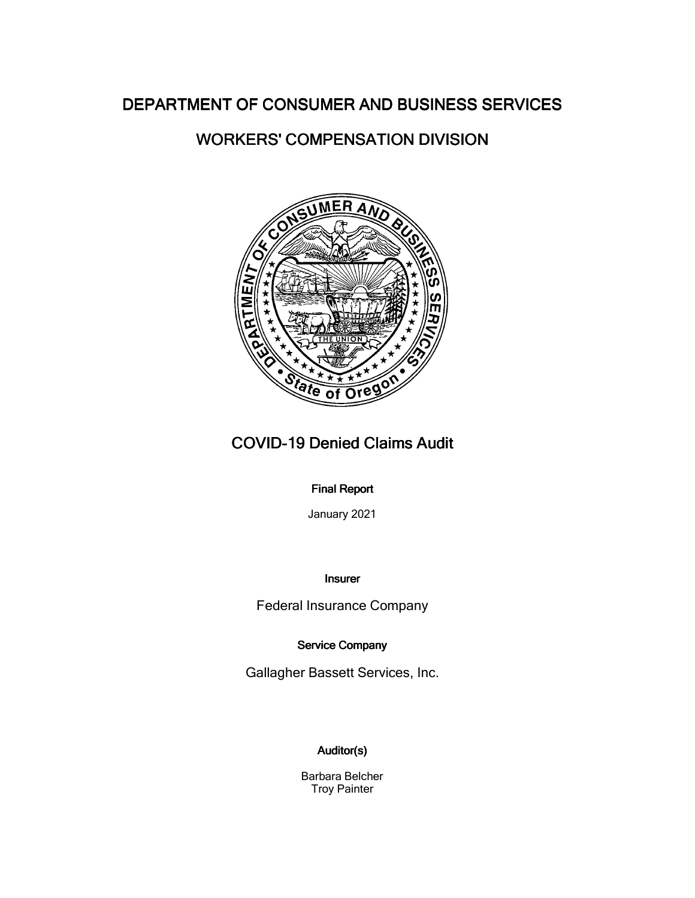# WORKERS' COMPENSATION DIVISION



# COVID-19 Denied Claims Audit

## **Final Report**

January 2021

## Insurer

Federal Insurance Company

## Service Company

Gallagher Bassett Services, Inc.

# Auditor(s)

Barbara Belcher Troy Painter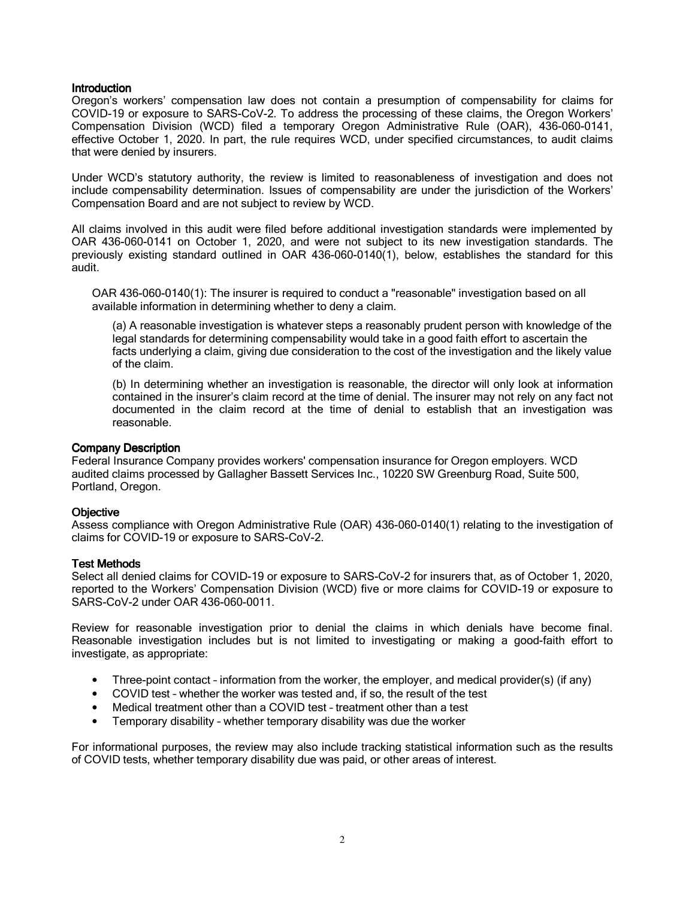Oregon's workers' compensation law does not contain a presumption of compensability for claims for COVID-19 or exposure to SARS-CoV-2. To address the processing of these claims, the Oregon Workers' Compensation Division (WCD) filed a temporary Oregon Administrative Rule (OAR), 436-060-0141, effective October 1, 2020. In part, the rule requires WCD, under specified circumstances, to audit claims that were denied by insurers.

Under WCD's statutory authority, the review is limited to reasonableness of investigation and does not include compensability determination. Issues of compensability are under the jurisdiction of the Workers' Compensation Board and are not subject to review by WCD.

All claims involved in this audit were filed before additional investigation standards were implemented by OAR 436-060-0141 on October 1, 2020, and were not subject to its new investigation standards. The previously existing standard outlined in OAR 436-060-0140(1), below, establishes the standard for this audit.

OAR 436-060-0140(1): The insurer is required to conduct a "reasonable" investigation based on all available information in determining whether to deny a claim.

(a) A reasonable investigation is whatever steps a reasonably prudent person with knowledge of the legal standards for determining compensability would take in a good faith effort to ascertain the facts underlying a claim, giving due consideration to the cost of the investigation and the likely value of the claim.

(b) In determining whether an investigation is reasonable, the director will only look at information contained in the insurer's claim record at the time of denial. The insurer may not rely on any fact not documented in the claim record at the time of denial to establish that an investigation was reasonable.

#### Company Description

Federal Insurance Company provides workers' compensation insurance for Oregon employers. WCD audited claims processed by Gallagher Bassett Services Inc., 10220 SW Greenburg Road, Suite 500, Portland, Oregon.

## **Objective**

Assess compliance with Oregon Administrative Rule (OAR) 436-060-0140(1) relating to the investigation of claims for COVID-19 or exposure to SARS-CoV-2.

#### **Test Methods**

Select all denied claims for COVID-19 or exposure to SARS-CoV-2 for insurers that, as of October 1, 2020, reported to the Workers' Compensation Division (WCD) five or more claims for COVID-19 or exposure to SARS-CoV-2 under OAR 436-060-0011.

Review for reasonable investigation prior to denial the claims in which denials have become final. Reasonable investigation includes but is not limited to investigating or making a good-faith effort to investigate, as appropriate:

- Three-point contact information from the worker, the employer, and medical provider(s) (if any)
- COVID test whether the worker was tested and, if so, the result of the test
- Medical treatment other than a COVID test treatment other than a test
- Temporary disability whether temporary disability was due the worker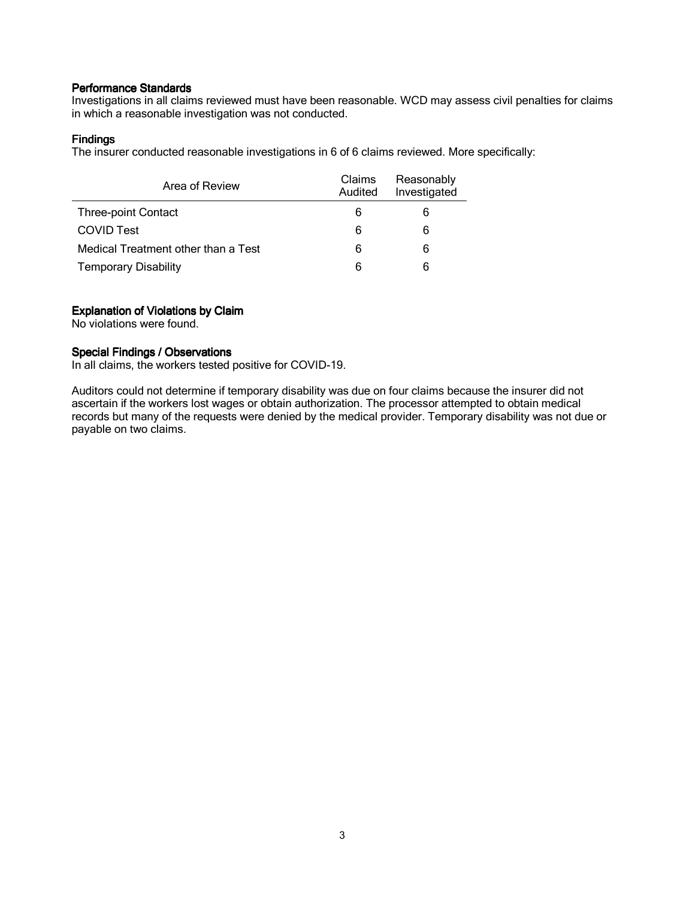Investigations in all claims reviewed must have been reasonable. WCD may assess civil penalties for claims in which a reasonable investigation was not conducted.

## **Findings**

The insurer conducted reasonable investigations in 6 of 6 claims reviewed. More specifically:

| Area of Review                      | Claims<br>Audited | Reasonably<br>Investigated |
|-------------------------------------|-------------------|----------------------------|
| <b>Three-point Contact</b>          | 6                 | 6                          |
| <b>COVID Test</b>                   | 6                 | 6                          |
| Medical Treatment other than a Test | 6                 | 6                          |
| <b>Temporary Disability</b>         | 6                 | 6                          |

## Explanation of Violations by Claim

No violations were found.

## Special Findings / Observations

In all claims, the workers tested positive for COVID-19.

Auditors could not determine if temporary disability was due on four claims because the insurer did not ascertain if the workers lost wages or obtain authorization. The processor attempted to obtain medical records but many of the requests were denied by the medical provider. Temporary disability was not due or payable on two claims.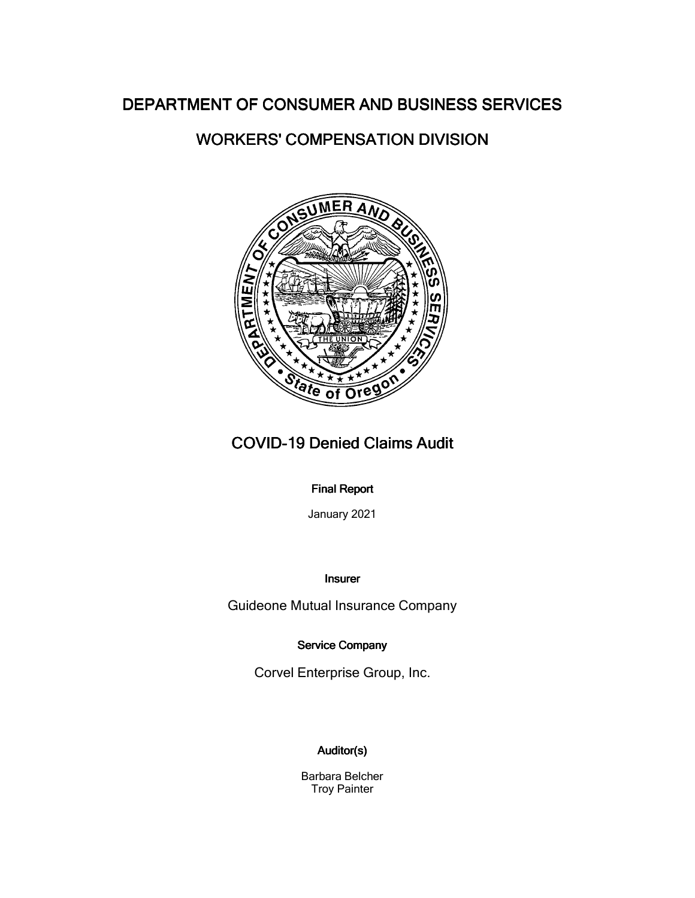# WORKERS' COMPENSATION DIVISION



# COVID-19 Denied Claims Audit

## **Final Report**

January 2021

## Insurer

Guideone Mutual Insurance Company

Service Company

Corvel Enterprise Group, Inc.

## Auditor(s)

Barbara Belcher Troy Painter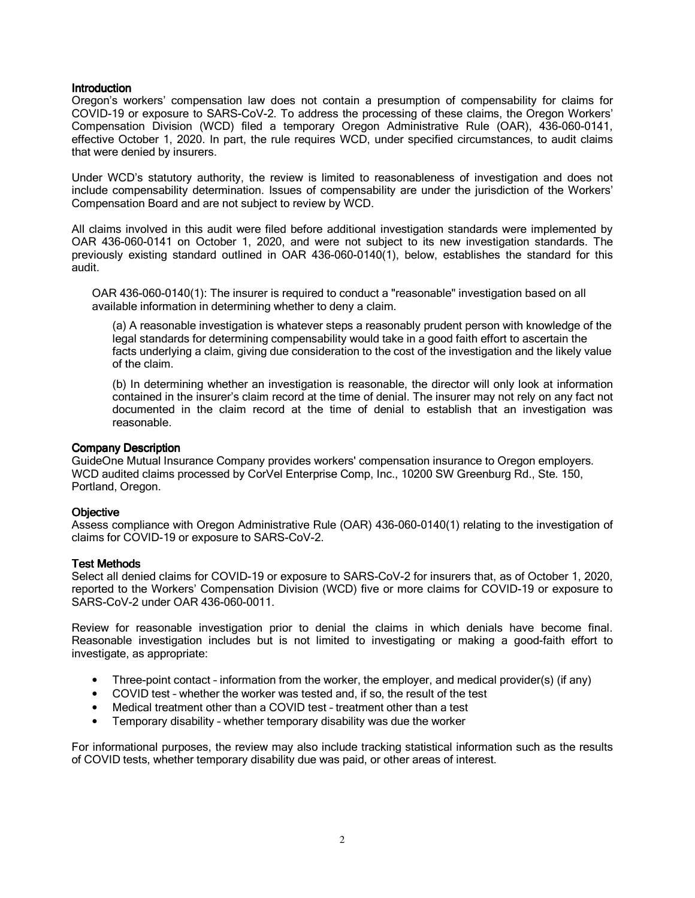Oregon's workers' compensation law does not contain a presumption of compensability for claims for COVID-19 or exposure to SARS-CoV-2. To address the processing of these claims, the Oregon Workers' Compensation Division (WCD) filed a temporary Oregon Administrative Rule (OAR), 436-060-0141, effective October 1, 2020. In part, the rule requires WCD, under specified circumstances, to audit claims that were denied by insurers.

Under WCD's statutory authority, the review is limited to reasonableness of investigation and does not include compensability determination. Issues of compensability are under the jurisdiction of the Workers' Compensation Board and are not subject to review by WCD.

All claims involved in this audit were filed before additional investigation standards were implemented by OAR 436-060-0141 on October 1, 2020, and were not subject to its new investigation standards. The previously existing standard outlined in OAR 436-060-0140(1), below, establishes the standard for this audit.

OAR 436-060-0140(1): The insurer is required to conduct a "reasonable" investigation based on all available information in determining whether to deny a claim.

(a) A reasonable investigation is whatever steps a reasonably prudent person with knowledge of the legal standards for determining compensability would take in a good faith effort to ascertain the facts underlying a claim, giving due consideration to the cost of the investigation and the likely value of the claim.

(b) In determining whether an investigation is reasonable, the director will only look at information contained in the insurer's claim record at the time of denial. The insurer may not rely on any fact not documented in the claim record at the time of denial to establish that an investigation was reasonable.

#### Company Description

GuideOne Mutual Insurance Company provides workers' compensation insurance to Oregon employers. WCD audited claims processed by CorVel Enterprise Comp, Inc., 10200 SW Greenburg Rd., Ste. 150, Portland, Oregon.

## **Objective**

Assess compliance with Oregon Administrative Rule (OAR) 436-060-0140(1) relating to the investigation of claims for COVID-19 or exposure to SARS-CoV-2.

#### **Test Methods**

Select all denied claims for COVID-19 or exposure to SARS-CoV-2 for insurers that, as of October 1, 2020, reported to the Workers' Compensation Division (WCD) five or more claims for COVID-19 or exposure to SARS-CoV-2 under OAR 436-060-0011.

Review for reasonable investigation prior to denial the claims in which denials have become final. Reasonable investigation includes but is not limited to investigating or making a good-faith effort to investigate, as appropriate:

- Three-point contact information from the worker, the employer, and medical provider(s) (if any)
- COVID test whether the worker was tested and, if so, the result of the test
- Medical treatment other than a COVID test treatment other than a test
- Temporary disability whether temporary disability was due the worker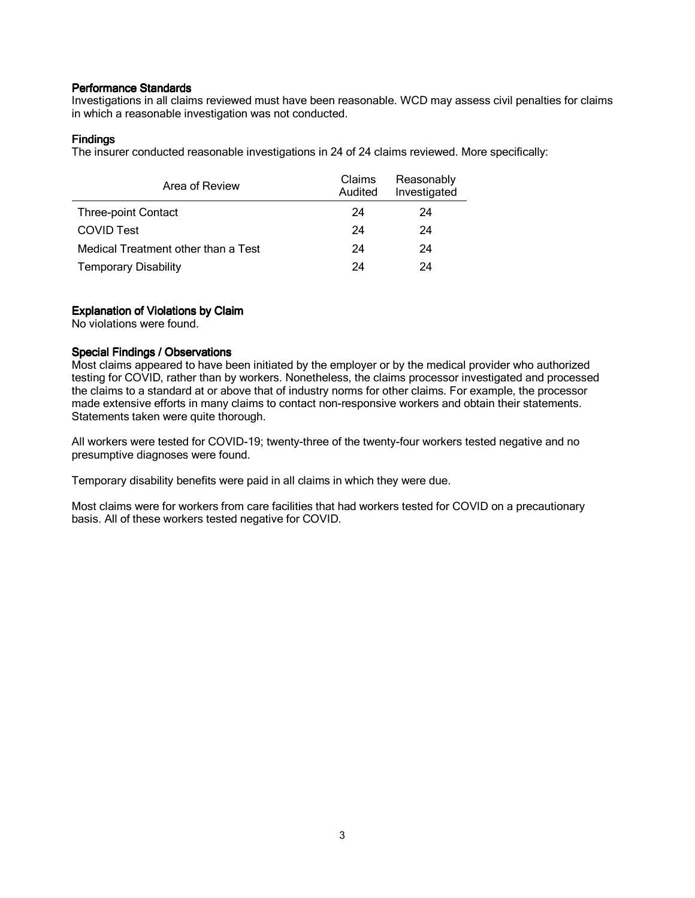Investigations in all claims reviewed must have been reasonable. WCD may assess civil penalties for claims in which a reasonable investigation was not conducted.

## **Findings**

The insurer conducted reasonable investigations in 24 of 24 claims reviewed. More specifically:

| Area of Review                      | <b>Claims</b><br>Audited | Reasonably<br>Investigated |
|-------------------------------------|--------------------------|----------------------------|
| <b>Three-point Contact</b>          | 24                       | 24                         |
| <b>COVID Test</b>                   | 24                       | 24                         |
| Medical Treatment other than a Test | 24                       | 24                         |
| <b>Temporary Disability</b>         | 24                       | 24                         |

## Explanation of Violations by Claim

No violations were found.

## Special Findings / Observations

Most claims appeared to have been initiated by the employer or by the medical provider who authorized testing for COVID, rather than by workers. Nonetheless, the claims processor investigated and processed the claims to a standard at or above that of industry norms for other claims. For example, the processor made extensive efforts in many claims to contact non-responsive workers and obtain their statements. Statements taken were quite thorough.

All workers were tested for COVID-19; twenty-three of the twenty-four workers tested negative and no presumptive diagnoses were found.

Temporary disability benefits were paid in all claims in which they were due.

Most claims were for workers from care facilities that had workers tested for COVID on a precautionary basis. All of these workers tested negative for COVID.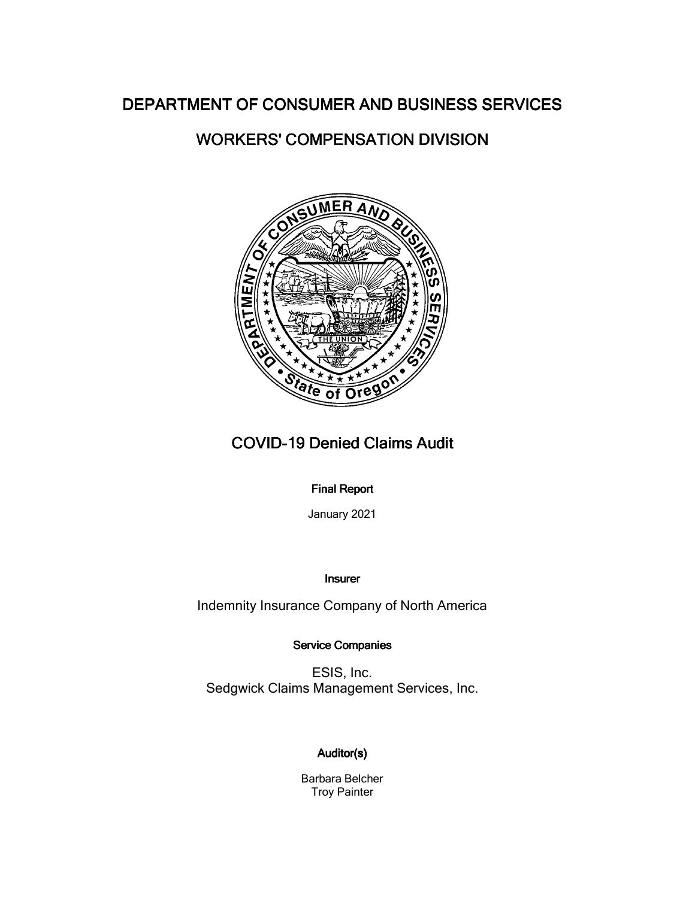# WORKERS' COMPENSATION DIVISION



# **COVID-19 Denied Claims Audit**

## **Final Report**

January 2021

## Insurer

Indemnity Insurance Company of North America

Service Companies

ESIS, Inc. Sedgwick Claims Management Services, Inc.

## Auditor(s)

Barbara Belcher Troy Painter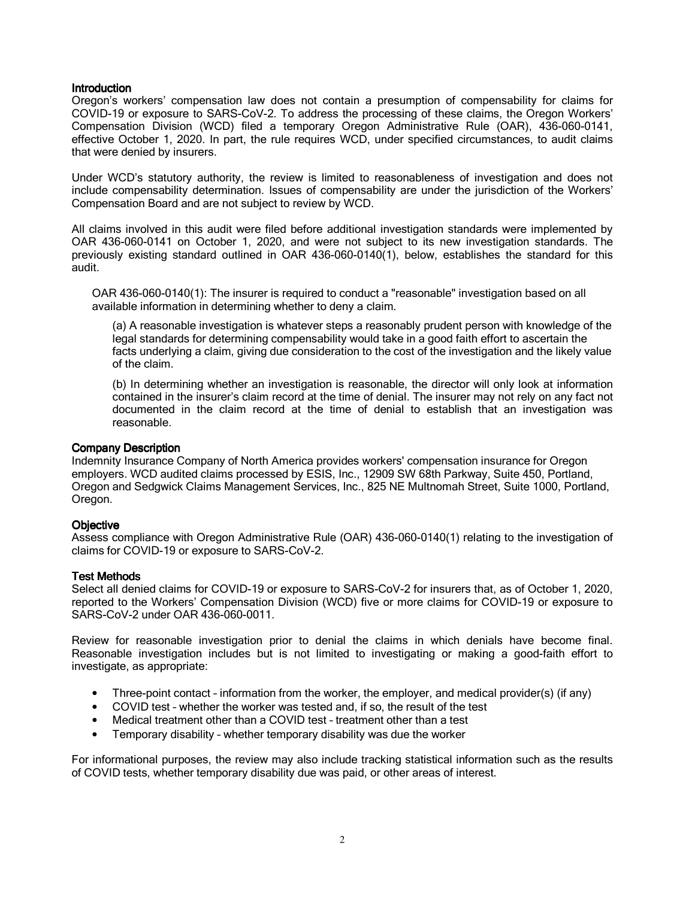Oregon's workers' compensation law does not contain a presumption of compensability for claims for COVID-19 or exposure to SARS-CoV-2. To address the processing of these claims, the Oregon Workers' Compensation Division (WCD) filed a temporary Oregon Administrative Rule (OAR), 436-060-0141, effective October 1, 2020. In part, the rule requires WCD, under specified circumstances, to audit claims that were denied by insurers.

Under WCD's statutory authority, the review is limited to reasonableness of investigation and does not include compensability determination. Issues of compensability are under the jurisdiction of the Workers' Compensation Board and are not subject to review by WCD.

All claims involved in this audit were filed before additional investigation standards were implemented by OAR 436-060-0141 on October 1, 2020, and were not subject to its new investigation standards. The previously existing standard outlined in OAR 436-060-0140(1), below, establishes the standard for this audit.

OAR 436-060-0140(1): The insurer is required to conduct a "reasonable" investigation based on all available information in determining whether to deny a claim.

(a) A reasonable investigation is whatever steps a reasonably prudent person with knowledge of the legal standards for determining compensability would take in a good faith effort to ascertain the facts underlying a claim, giving due consideration to the cost of the investigation and the likely value of the claim.

(b) In determining whether an investigation is reasonable, the director will only look at information contained in the insurer's claim record at the time of denial. The insurer may not rely on any fact not documented in the claim record at the time of denial to establish that an investigation was reasonable.

#### Company Description

Indemnity Insurance Company of North America provides workers' compensation insurance for Oregon employers. WCD audited claims processed by ESIS, Inc., 12909 SW 68th Parkway, Suite 450, Portland, Oregon and Sedgwick Claims Management Services, Inc., 825 NE Multnomah Street, Suite 1000, Portland, Oregon.

## **Objective**

Assess compliance with Oregon Administrative Rule (OAR) 436-060-0140(1) relating to the investigation of claims for COVID-19 or exposure to SARS-CoV-2.

#### **Test Methods**

Select all denied claims for COVID-19 or exposure to SARS-CoV-2 for insurers that, as of October 1, 2020, reported to the Workers' Compensation Division (WCD) five or more claims for COVID-19 or exposure to SARS-CoV-2 under OAR 436-060-0011.

Review for reasonable investigation prior to denial the claims in which denials have become final. Reasonable investigation includes but is not limited to investigating or making a good-faith effort to investigate, as appropriate:

- Three-point contact information from the worker, the employer, and medical provider(s) (if any)
- COVID test whether the worker was tested and, if so, the result of the test
- Medical treatment other than a COVID test treatment other than a test
- Temporary disability whether temporary disability was due the worker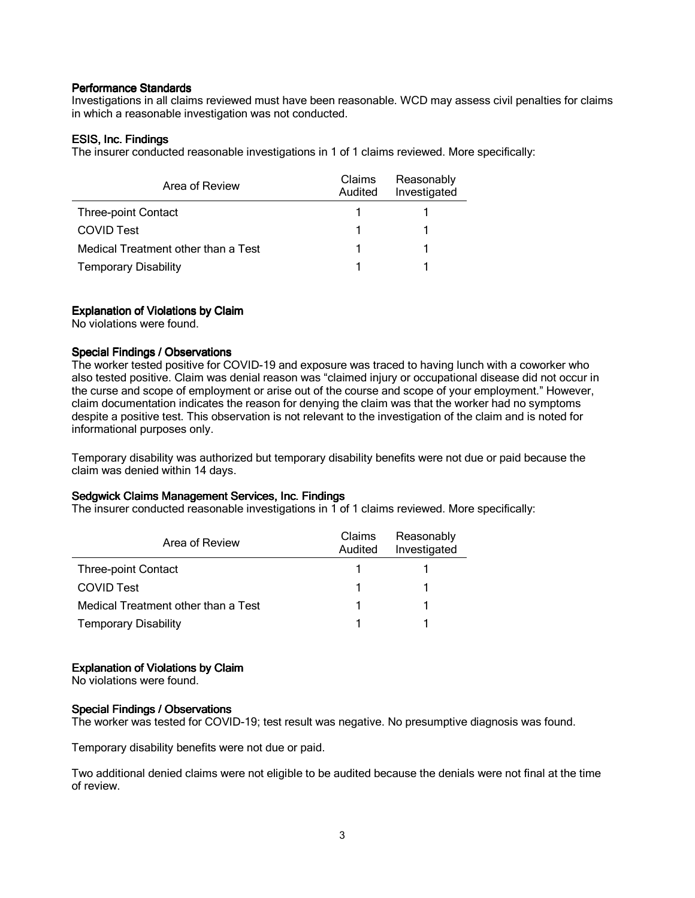Investigations in all claims reviewed must have been reasonable. WCD may assess civil penalties for claims in which a reasonable investigation was not conducted.

### ESIS, Inc. Findings

The insurer conducted reasonable investigations in 1 of 1 claims reviewed. More specifically:

| Area of Review                      | Claims<br>Audited | Reasonably<br>Investigated |
|-------------------------------------|-------------------|----------------------------|
| <b>Three-point Contact</b>          |                   |                            |
| <b>COVID Test</b>                   |                   |                            |
| Medical Treatment other than a Test |                   |                            |
| <b>Temporary Disability</b>         |                   |                            |

### Explanation of Violations by Claim

No violations were found.

### Special Findings / Observations

The worker tested positive for COVID-19 and exposure was traced to having lunch with a coworker who also tested positive. Claim was denial reason was "claimed injury or occupational disease did not occur in the curse and scope of employment or arise out of the course and scope of your employment." However, claim documentation indicates the reason for denying the claim was that the worker had no symptoms despite a positive test. This observation is not relevant to the investigation of the claim and is noted for informational purposes only.

Temporary disability was authorized but temporary disability benefits were not due or paid because the claim was denied within 14 days.

#### Sedgwick Claims Management Services, Inc. Findings

The insurer conducted reasonable investigations in 1 of 1 claims reviewed. More specifically:

| Area of Review                      | <b>Claims</b><br>Audited | Reasonably<br>Investigated |
|-------------------------------------|--------------------------|----------------------------|
| <b>Three-point Contact</b>          |                          |                            |
| <b>COVID Test</b>                   |                          |                            |
| Medical Treatment other than a Test |                          |                            |
| <b>Temporary Disability</b>         |                          |                            |

## Explanation of Violations by Claim

No violations were found.

#### Special Findings / Observations

The worker was tested for COVID-19; test result was negative. No presumptive diagnosis was found.

Temporary disability benefits were not due or paid.

Two additional denied claims were not eligible to be audited because the denials were not final at the time of review.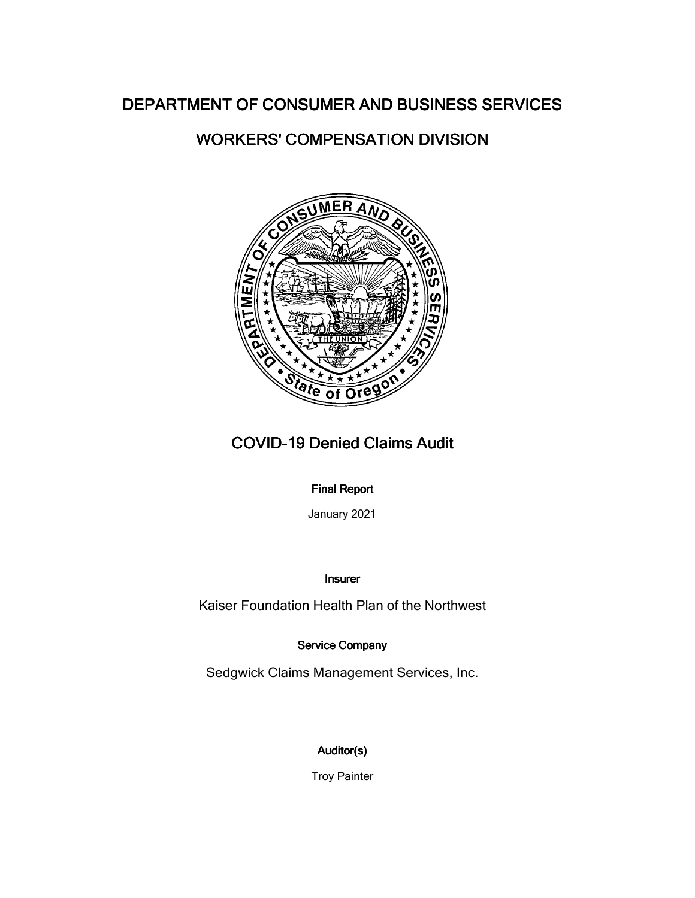# WORKERS' COMPENSATION DIVISION



# **COVID-19 Denied Claims Audit**

## **Final Report**

January 2021

## Insurer

Kaiser Foundation Health Plan of the Northwest

## Service Company

Sedgwick Claims Management Services, Inc.

# Auditor(s)

Troy Painter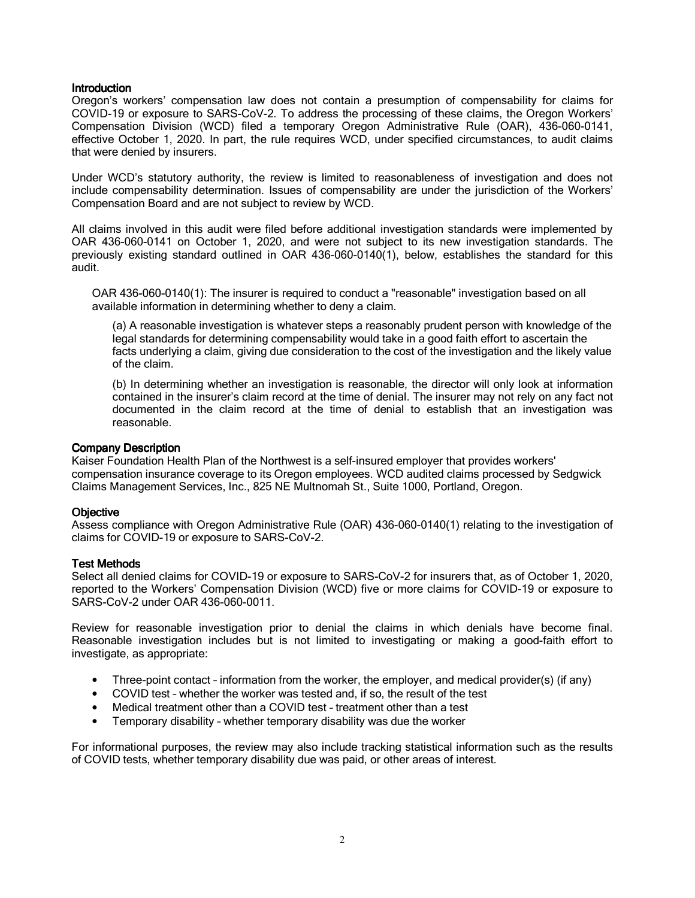Oregon's workers' compensation law does not contain a presumption of compensability for claims for COVID-19 or exposure to SARS-CoV-2. To address the processing of these claims, the Oregon Workers' Compensation Division (WCD) filed a temporary Oregon Administrative Rule (OAR), 436-060-0141, effective October 1, 2020. In part, the rule requires WCD, under specified circumstances, to audit claims that were denied by insurers.

Under WCD's statutory authority, the review is limited to reasonableness of investigation and does not include compensability determination. Issues of compensability are under the jurisdiction of the Workers' Compensation Board and are not subject to review by WCD.

All claims involved in this audit were filed before additional investigation standards were implemented by OAR 436-060-0141 on October 1, 2020, and were not subject to its new investigation standards. The previously existing standard outlined in OAR 436-060-0140(1), below, establishes the standard for this audit.

OAR 436-060-0140(1): The insurer is required to conduct a "reasonable" investigation based on all available information in determining whether to deny a claim.

(a) A reasonable investigation is whatever steps a reasonably prudent person with knowledge of the legal standards for determining compensability would take in a good faith effort to ascertain the facts underlying a claim, giving due consideration to the cost of the investigation and the likely value of the claim.

(b) In determining whether an investigation is reasonable, the director will only look at information contained in the insurer's claim record at the time of denial. The insurer may not rely on any fact not documented in the claim record at the time of denial to establish that an investigation was reasonable.

#### Company Description

Kaiser Foundation Health Plan of the Northwest is a self-insured employer that provides workers' compensation insurance coverage to its Oregon employees. WCD audited claims processed by Sedgwick Claims Management Services, Inc., 825 NE Multnomah St., Suite 1000, Portland, Oregon.

## **Objective**

Assess compliance with Oregon Administrative Rule (OAR) 436-060-0140(1) relating to the investigation of claims for COVID-19 or exposure to SARS-CoV-2.

#### **Test Methods**

Select all denied claims for COVID-19 or exposure to SARS-CoV-2 for insurers that, as of October 1, 2020, reported to the Workers' Compensation Division (WCD) five or more claims for COVID-19 or exposure to SARS-CoV-2 under OAR 436-060-0011.

Review for reasonable investigation prior to denial the claims in which denials have become final. Reasonable investigation includes but is not limited to investigating or making a good-faith effort to investigate, as appropriate:

- Three-point contact information from the worker, the employer, and medical provider(s) (if any)
- COVID test whether the worker was tested and, if so, the result of the test
- Medical treatment other than a COVID test treatment other than a test
- Temporary disability whether temporary disability was due the worker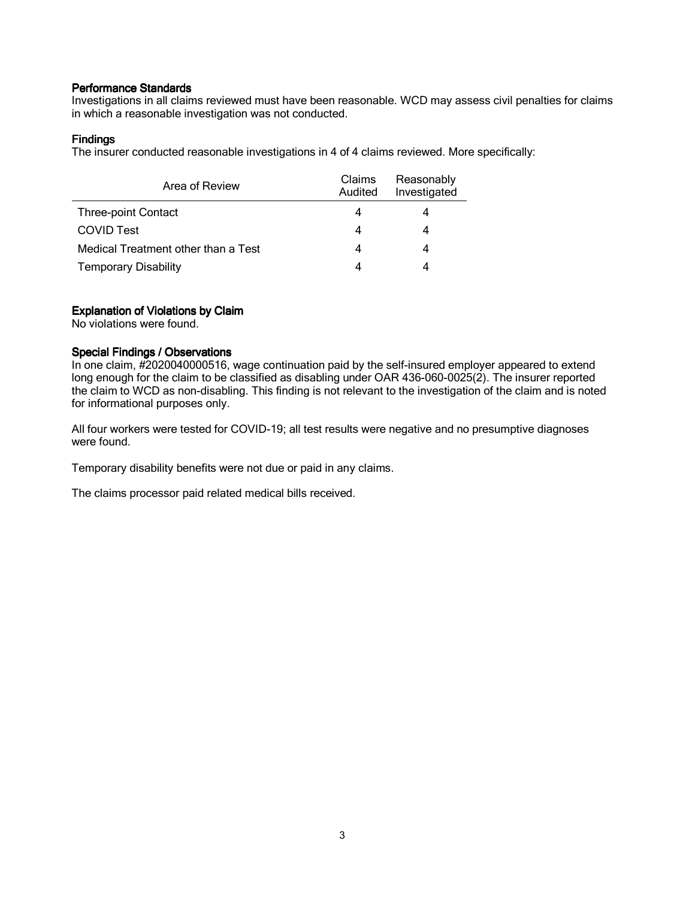Investigations in all claims reviewed must have been reasonable. WCD may assess civil penalties for claims in which a reasonable investigation was not conducted.

## **Findings**

The insurer conducted reasonable investigations in 4 of 4 claims reviewed. More specifically:

| Area of Review                      | Claims<br>Audited | Reasonably<br>Investigated |
|-------------------------------------|-------------------|----------------------------|
| <b>Three-point Contact</b>          | 4                 |                            |
| <b>COVID Test</b>                   | 4                 |                            |
| Medical Treatment other than a Test | 4                 |                            |
| <b>Temporary Disability</b>         | 4                 |                            |

## Explanation of Violations by Claim

No violations were found.

## Special Findings / Observations

In one claim, #2020040000516, wage continuation paid by the self-insured employer appeared to extend long enough for the claim to be classified as disabling under OAR 436-060-0025(2). The insurer reported the claim to WCD as non-disabling. This finding is not relevant to the investigation of the claim and is noted for informational purposes only.

All four workers were tested for COVID-19; all test results were negative and no presumptive diagnoses were found.

Temporary disability benefits were not due or paid in any claims.

The claims processor paid related medical bills received.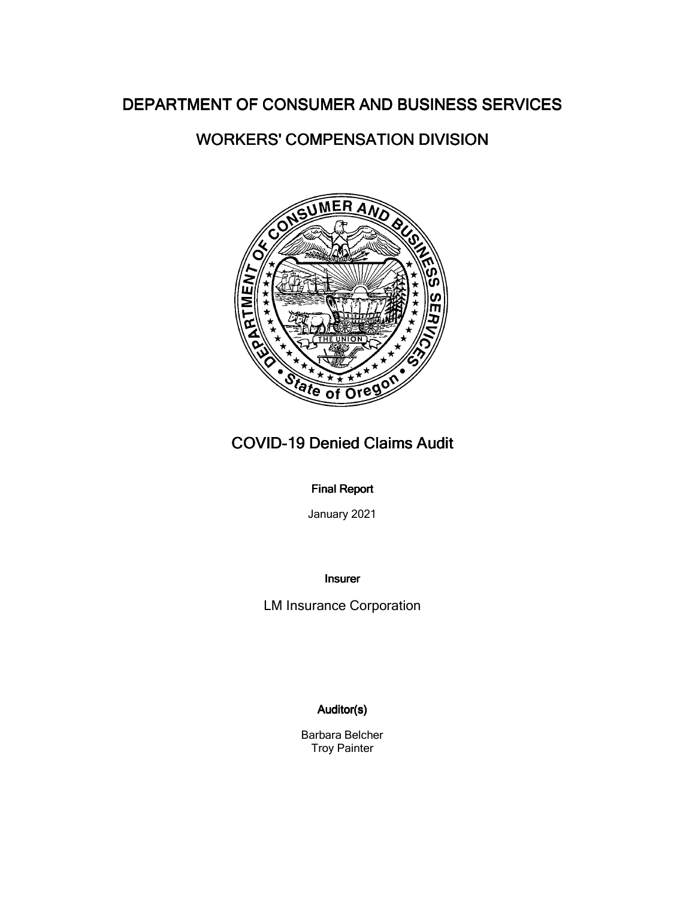# WORKERS' COMPENSATION DIVISION



# COVID-19 Denied Claims Audit

## **Final Report**

January 2021

Insurer

LM Insurance Corporation

## Auditor(s)

Barbara Belcher Troy Painter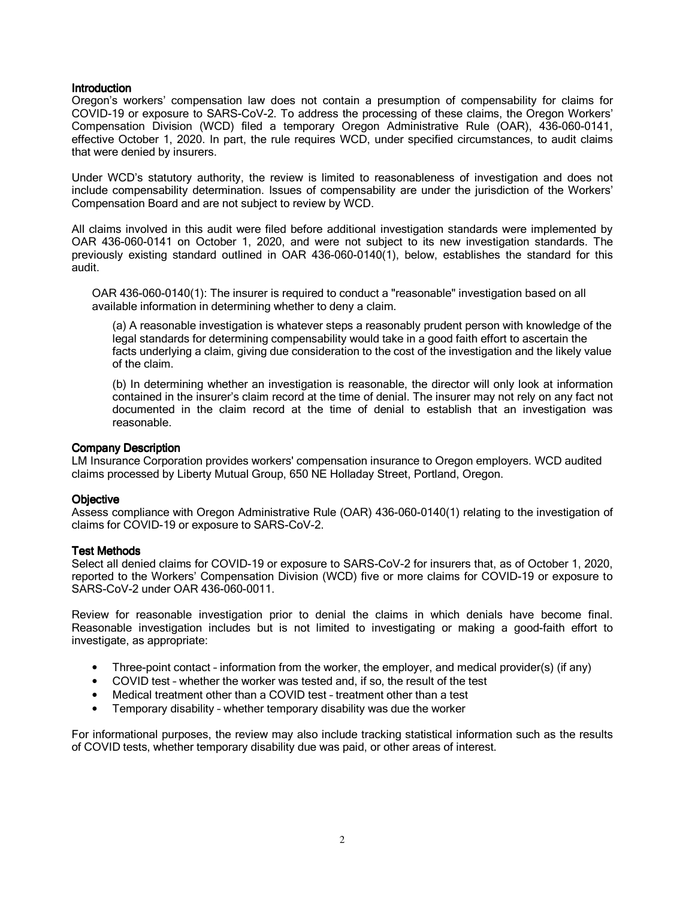Oregon's workers' compensation law does not contain a presumption of compensability for claims for COVID-19 or exposure to SARS-CoV-2. To address the processing of these claims, the Oregon Workers' Compensation Division (WCD) filed a temporary Oregon Administrative Rule (OAR), 436-060-0141, effective October 1, 2020. In part, the rule requires WCD, under specified circumstances, to audit claims that were denied by insurers.

Under WCD's statutory authority, the review is limited to reasonableness of investigation and does not include compensability determination. Issues of compensability are under the jurisdiction of the Workers' Compensation Board and are not subject to review by WCD.

All claims involved in this audit were filed before additional investigation standards were implemented by OAR 436-060-0141 on October 1, 2020, and were not subject to its new investigation standards. The previously existing standard outlined in OAR 436-060-0140(1), below, establishes the standard for this audit.

OAR 436-060-0140(1): The insurer is required to conduct a "reasonable" investigation based on all available information in determining whether to deny a claim.

(a) A reasonable investigation is whatever steps a reasonably prudent person with knowledge of the legal standards for determining compensability would take in a good faith effort to ascertain the facts underlying a claim, giving due consideration to the cost of the investigation and the likely value of the claim.

(b) In determining whether an investigation is reasonable, the director will only look at information contained in the insurer's claim record at the time of denial. The insurer may not rely on any fact not documented in the claim record at the time of denial to establish that an investigation was reasonable.

#### **Company Description**

LM Insurance Corporation provides workers' compensation insurance to Oregon employers. WCD audited claims processed by Liberty Mutual Group, 650 NE Holladay Street, Portland, Oregon.

#### **Objective**

Assess compliance with Oregon Administrative Rule (OAR) 436-060-0140(1) relating to the investigation of claims for COVID-19 or exposure to SARS-CoV-2.

## **Test Methods**

Select all denied claims for COVID-19 or exposure to SARS-CoV-2 for insurers that, as of October 1, 2020, reported to the Workers' Compensation Division (WCD) five or more claims for COVID-19 or exposure to SARS-CoV-2 under OAR 436-060-0011.

Review for reasonable investigation prior to denial the claims in which denials have become final. Reasonable investigation includes but is not limited to investigating or making a good-faith effort to investigate, as appropriate:

- Three-point contact information from the worker, the employer, and medical provider(s) (if any)
- COVID test whether the worker was tested and, if so, the result of the test
- Medical treatment other than a COVID test treatment other than a test
- Temporary disability whether temporary disability was due the worker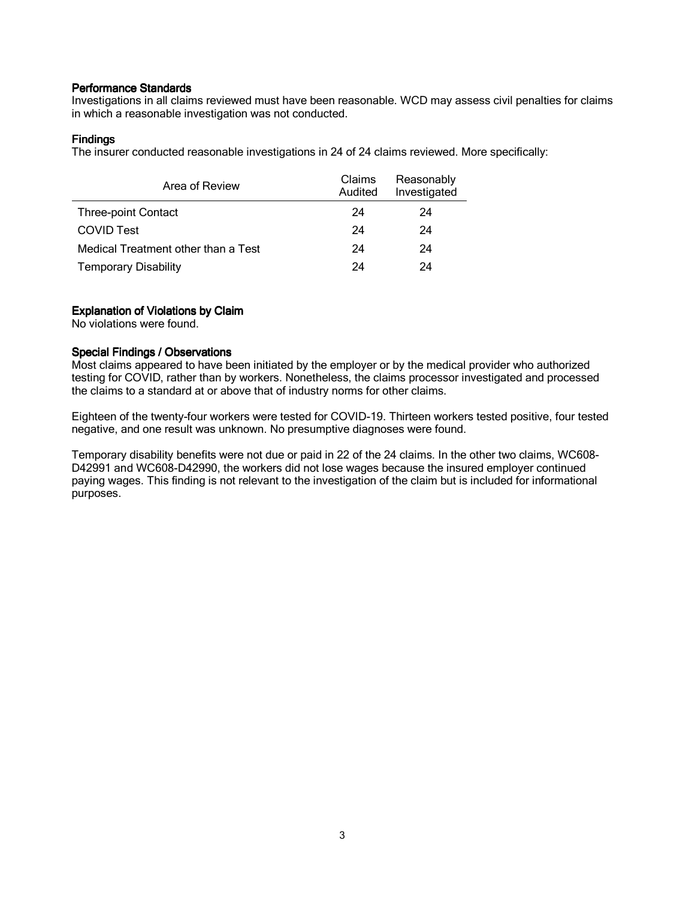Investigations in all claims reviewed must have been reasonable. WCD may assess civil penalties for claims in which a reasonable investigation was not conducted.

## **Findings**

The insurer conducted reasonable investigations in 24 of 24 claims reviewed. More specifically:

| Area of Review                      | <b>Claims</b><br>Audited | Reasonably<br>Investigated |
|-------------------------------------|--------------------------|----------------------------|
| <b>Three-point Contact</b>          | 24                       | 24                         |
| <b>COVID Test</b>                   | 24                       | 24                         |
| Medical Treatment other than a Test | 24                       | 24                         |
| <b>Temporary Disability</b>         | 24                       | 24                         |

## Explanation of Violations by Claim

No violations were found.

## Special Findings / Observations

Most claims appeared to have been initiated by the employer or by the medical provider who authorized testing for COVID, rather than by workers. Nonetheless, the claims processor investigated and processed the claims to a standard at or above that of industry norms for other claims.

Eighteen of the twenty-four workers were tested for COVID-19. Thirteen workers tested positive, four tested negative, and one result was unknown. No presumptive diagnoses were found.

Temporary disability benefits were not due or paid in 22 of the 24 claims. In the other two claims, WC608- D42991 and WC608-D42990, the workers did not lose wages because the insured employer continued paying wages. This finding is not relevant to the investigation of the claim but is included for informational purposes.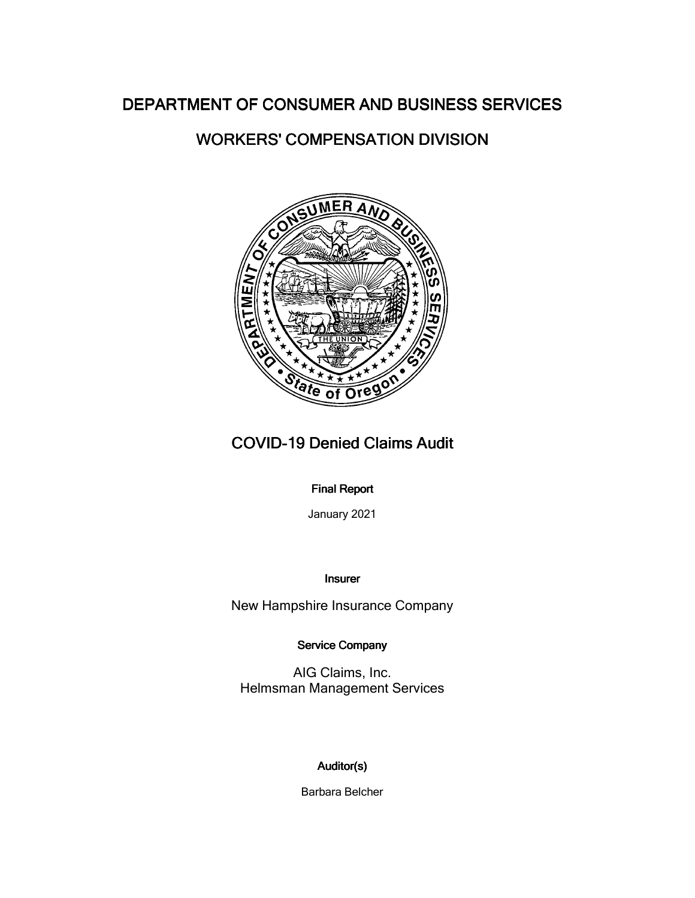# WORKERS' COMPENSATION DIVISION



# COVID-19 Denied Claims Audit

## **Final Report**

January 2021

Insurer

New Hampshire Insurance Company

Service Company

AIG Claims, Inc. Helmsman Management Services

## Auditor(s)

Barbara Belcher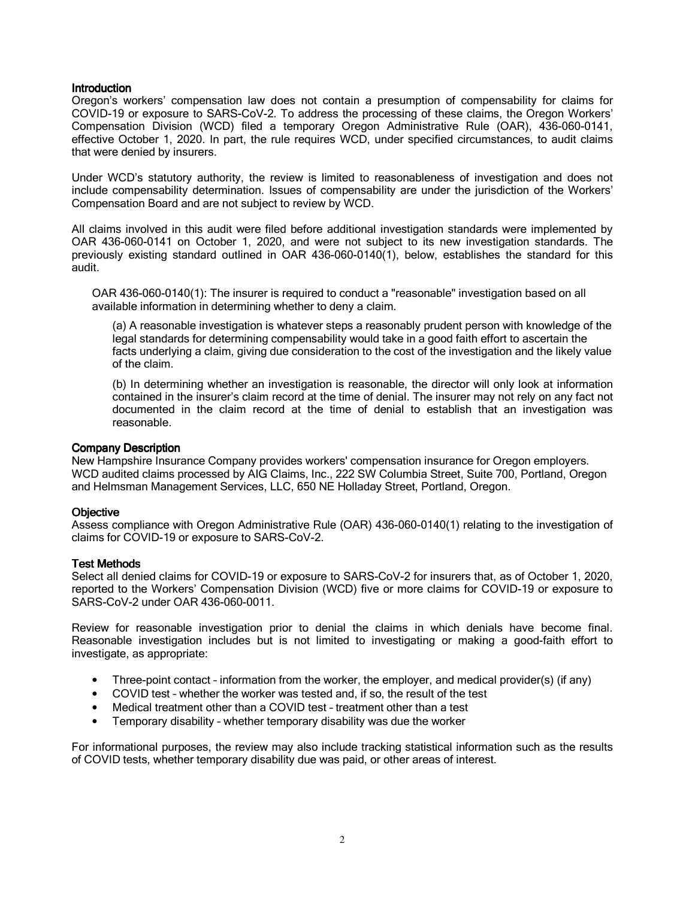Oregon's workers' compensation law does not contain a presumption of compensability for claims for COVID-19 or exposure to SARS-CoV-2. To address the processing of these claims, the Oregon Workers' Compensation Division (WCD) filed a temporary Oregon Administrative Rule (OAR), 436-060-0141, effective October 1, 2020. In part, the rule requires WCD, under specified circumstances, to audit claims that were denied by insurers.

Under WCD's statutory authority, the review is limited to reasonableness of investigation and does not include compensability determination. Issues of compensability are under the jurisdiction of the Workers' Compensation Board and are not subject to review by WCD.

All claims involved in this audit were filed before additional investigation standards were implemented by OAR 436-060-0141 on October 1, 2020, and were not subject to its new investigation standards. The previously existing standard outlined in OAR 436-060-0140(1), below, establishes the standard for this audit.

OAR 436-060-0140(1): The insurer is required to conduct a "reasonable" investigation based on all available information in determining whether to deny a claim.

(a) A reasonable investigation is whatever steps a reasonably prudent person with knowledge of the legal standards for determining compensability would take in a good faith effort to ascertain the facts underlying a claim, giving due consideration to the cost of the investigation and the likely value of the claim.

(b) In determining whether an investigation is reasonable, the director will only look at information contained in the insurer's claim record at the time of denial. The insurer may not rely on any fact not documented in the claim record at the time of denial to establish that an investigation was reasonable.

#### Company Description

New Hampshire Insurance Company provides workers' compensation insurance for Oregon employers. WCD audited claims processed by AIG Claims, Inc., 222 SW Columbia Street, Suite 700, Portland, Oregon and Helmsman Management Services, LLC, 650 NE Holladay Street, Portland, Oregon.

## **Objective**

Assess compliance with Oregon Administrative Rule (OAR) 436-060-0140(1) relating to the investigation of claims for COVID-19 or exposure to SARS-CoV-2.

#### **Test Methods**

Select all denied claims for COVID-19 or exposure to SARS-CoV-2 for insurers that, as of October 1, 2020, reported to the Workers' Compensation Division (WCD) five or more claims for COVID-19 or exposure to SARS-CoV-2 under OAR 436-060-0011.

Review for reasonable investigation prior to denial the claims in which denials have become final. Reasonable investigation includes but is not limited to investigating or making a good-faith effort to investigate, as appropriate:

- Three-point contact information from the worker, the employer, and medical provider(s) (if any)
- COVID test whether the worker was tested and, if so, the result of the test
- Medical treatment other than a COVID test treatment other than a test
- Temporary disability whether temporary disability was due the worker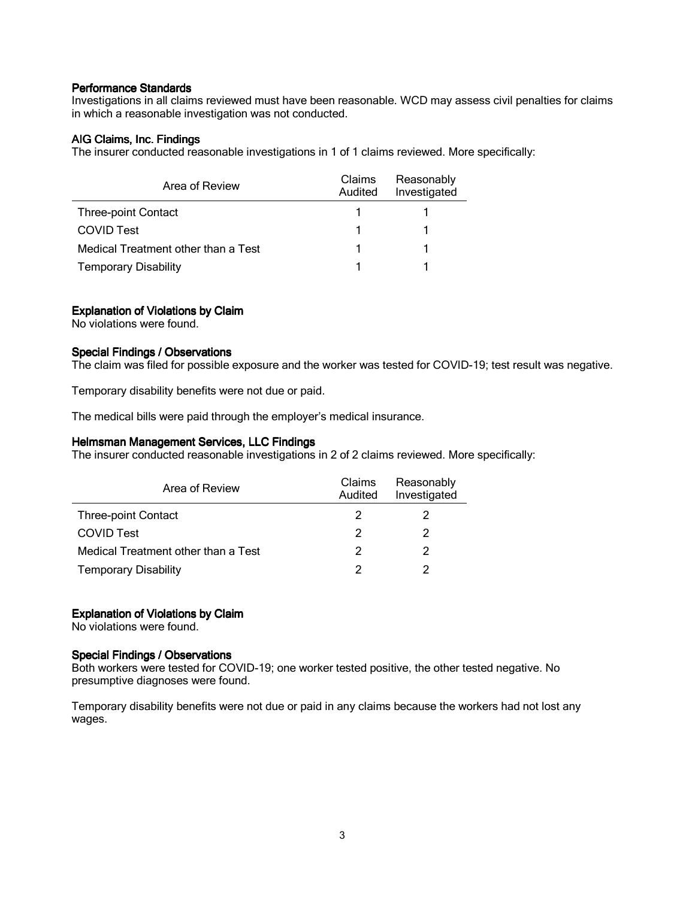Investigations in all claims reviewed must have been reasonable. WCD may assess civil penalties for claims in which a reasonable investigation was not conducted.

## AIG Claims, Inc. Findings

The insurer conducted reasonable investigations in 1 of 1 claims reviewed. More specifically:

| Area of Review                      | <b>Claims</b><br>Audited | Reasonably<br>Investigated |
|-------------------------------------|--------------------------|----------------------------|
| <b>Three-point Contact</b>          |                          |                            |
| <b>COVID Test</b>                   |                          |                            |
| Medical Treatment other than a Test |                          |                            |
| <b>Temporary Disability</b>         |                          |                            |

### Explanation of Violations by Claim

No violations were found.

### Special Findings / Observations

The claim was filed for possible exposure and the worker was tested for COVID-19; test result was negative.

Temporary disability benefits were not due or paid.

The medical bills were paid through the employer's medical insurance.

### Helmsman Management Services, LLC Findings

The insurer conducted reasonable investigations in 2 of 2 claims reviewed. More specifically:

| Area of Review                      | Claims<br>Audited | Reasonably<br>Investigated |
|-------------------------------------|-------------------|----------------------------|
| <b>Three-point Contact</b>          |                   |                            |
| <b>COVID Test</b>                   | 2                 | 2                          |
| Medical Treatment other than a Test | 2                 | 2                          |
| <b>Temporary Disability</b>         |                   | າ                          |

#### Explanation of Violations by Claim

No violations were found.

### Special Findings / Observations

Both workers were tested for COVID-19; one worker tested positive, the other tested negative. No presumptive diagnoses were found.

Temporary disability benefits were not due or paid in any claims because the workers had not lost any wages.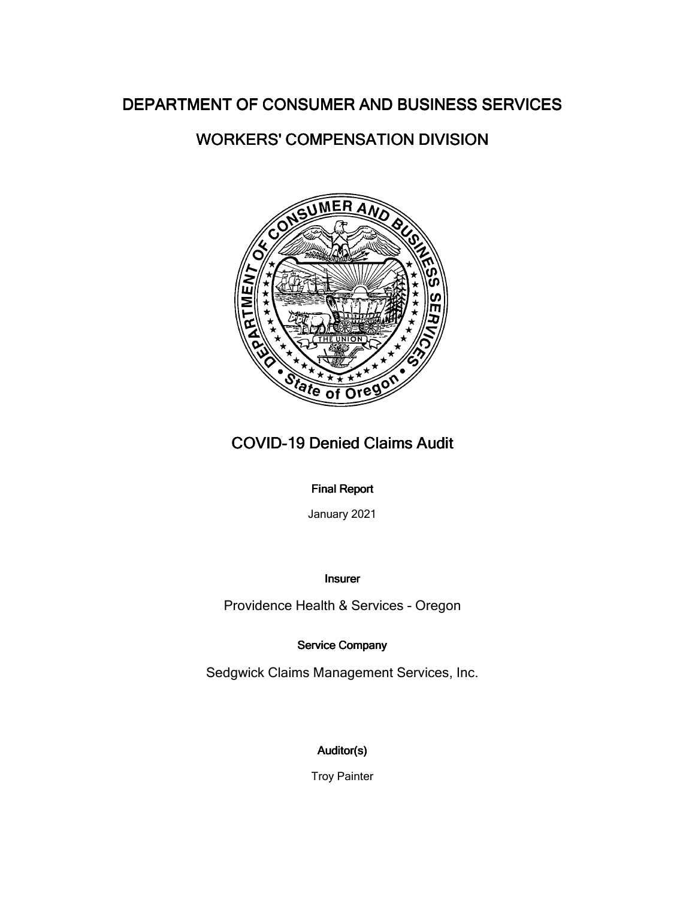# WORKERS' COMPENSATION DIVISION



# COVID-19 Denied Claims Audit

## **Final Report**

January 2021

Insurer

Providence Health & Services - Oregon

Service Company

Sedgwick Claims Management Services, Inc.

# Auditor(s)

Troy Painter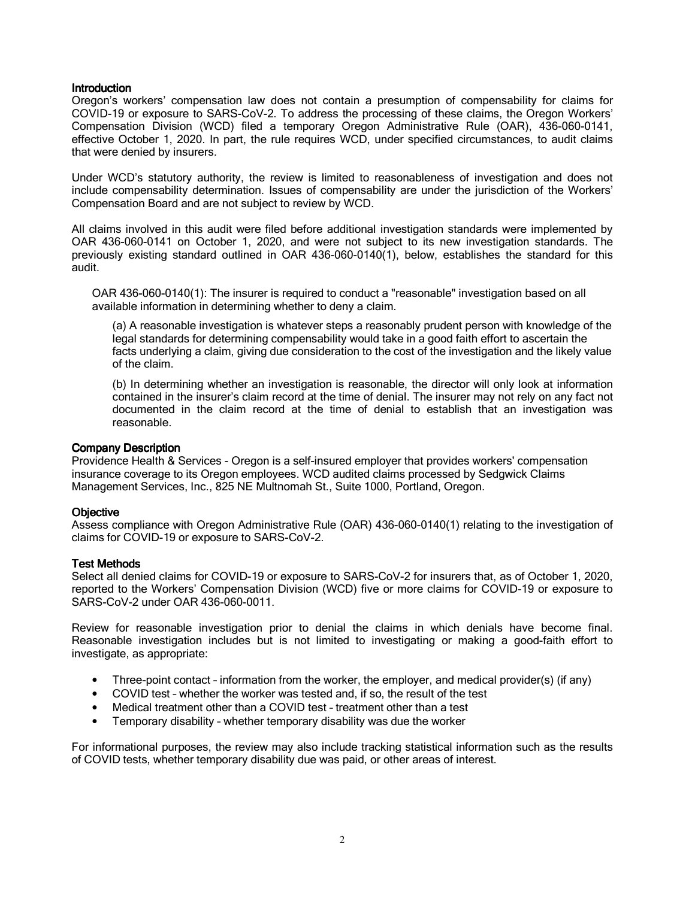Oregon's workers' compensation law does not contain a presumption of compensability for claims for COVID-19 or exposure to SARS-CoV-2. To address the processing of these claims, the Oregon Workers' Compensation Division (WCD) filed a temporary Oregon Administrative Rule (OAR), 436-060-0141, effective October 1, 2020. In part, the rule requires WCD, under specified circumstances, to audit claims that were denied by insurers.

Under WCD's statutory authority, the review is limited to reasonableness of investigation and does not include compensability determination. Issues of compensability are under the jurisdiction of the Workers' Compensation Board and are not subject to review by WCD.

All claims involved in this audit were filed before additional investigation standards were implemented by OAR 436-060-0141 on October 1, 2020, and were not subject to its new investigation standards. The previously existing standard outlined in OAR 436-060-0140(1), below, establishes the standard for this audit.

OAR 436-060-0140(1): The insurer is required to conduct a "reasonable" investigation based on all available information in determining whether to deny a claim.

(a) A reasonable investigation is whatever steps a reasonably prudent person with knowledge of the legal standards for determining compensability would take in a good faith effort to ascertain the facts underlying a claim, giving due consideration to the cost of the investigation and the likely value of the claim.

(b) In determining whether an investigation is reasonable, the director will only look at information contained in the insurer's claim record at the time of denial. The insurer may not rely on any fact not documented in the claim record at the time of denial to establish that an investigation was reasonable.

#### Company Description

Providence Health & Services - Oregon is a self-insured employer that provides workers' compensation insurance coverage to its Oregon employees. WCD audited claims processed by Sedgwick Claims Management Services, Inc., 825 NE Multnomah St., Suite 1000, Portland, Oregon.

## **Objective**

Assess compliance with Oregon Administrative Rule (OAR) 436-060-0140(1) relating to the investigation of claims for COVID-19 or exposure to SARS-CoV-2.

#### **Test Methods**

Select all denied claims for COVID-19 or exposure to SARS-CoV-2 for insurers that, as of October 1, 2020, reported to the Workers' Compensation Division (WCD) five or more claims for COVID-19 or exposure to SARS-CoV-2 under OAR 436-060-0011.

Review for reasonable investigation prior to denial the claims in which denials have become final. Reasonable investigation includes but is not limited to investigating or making a good-faith effort to investigate, as appropriate:

- Three-point contact information from the worker, the employer, and medical provider(s) (if any)
- COVID test whether the worker was tested and, if so, the result of the test
- Medical treatment other than a COVID test treatment other than a test
- Temporary disability whether temporary disability was due the worker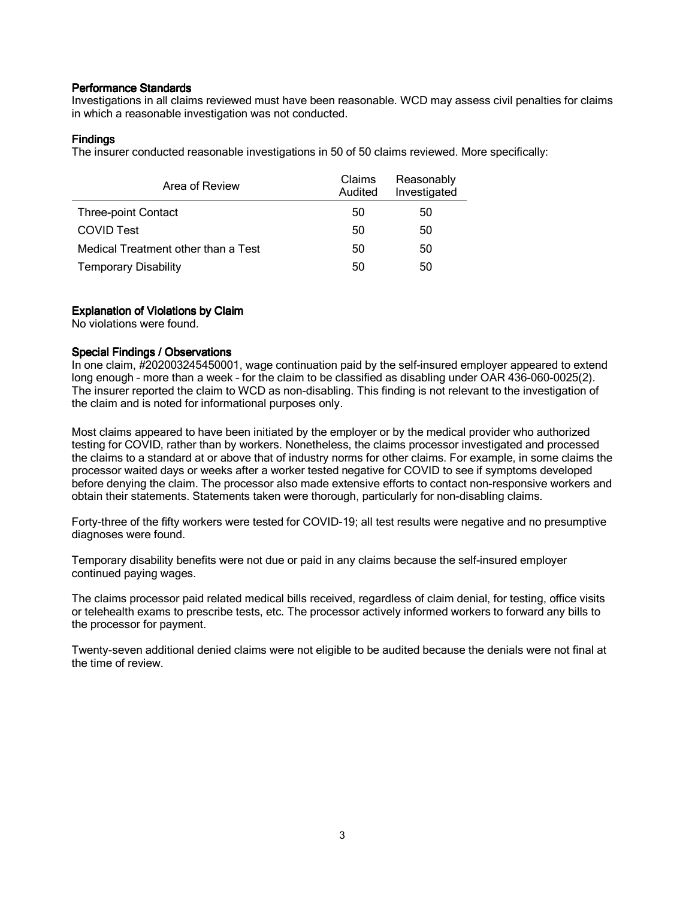Investigations in all claims reviewed must have been reasonable. WCD may assess civil penalties for claims in which a reasonable investigation was not conducted.

## **Findings**

The insurer conducted reasonable investigations in 50 of 50 claims reviewed. More specifically:

| Area of Review                      | Claims<br>Audited | Reasonably<br>Investigated |
|-------------------------------------|-------------------|----------------------------|
| <b>Three-point Contact</b>          | 50                | 50                         |
| <b>COVID Test</b>                   | 50                | 50                         |
| Medical Treatment other than a Test | 50                | 50                         |
| <b>Temporary Disability</b>         | 50                | 50                         |

## Explanation of Violations by Claim

No violations were found.

## Special Findings / Observations

In one claim, #202003245450001, wage continuation paid by the self-insured employer appeared to extend long enough – more than a week – for the claim to be classified as disabling under OAR 436-060-0025(2). The insurer reported the claim to WCD as non-disabling. This finding is not relevant to the investigation of the claim and is noted for informational purposes only.

Most claims appeared to have been initiated by the employer or by the medical provider who authorized testing for COVID, rather than by workers. Nonetheless, the claims processor investigated and processed the claims to a standard at or above that of industry norms for other claims. For example, in some claims the processor waited days or weeks after a worker tested negative for COVID to see if symptoms developed before denying the claim. The processor also made extensive efforts to contact non-responsive workers and obtain their statements. Statements taken were thorough, particularly for non-disabling claims.

Forty-three of the fifty workers were tested for COVID-19; all test results were negative and no presumptive diagnoses were found.

Temporary disability benefits were not due or paid in any claims because the self-insured employer continued paying wages.

The claims processor paid related medical bills received, regardless of claim denial, for testing, office visits or telehealth exams to prescribe tests, etc. The processor actively informed workers to forward any bills to the processor for payment.

Twenty-seven additional denied claims were not eligible to be audited because the denials were not final at the time of review.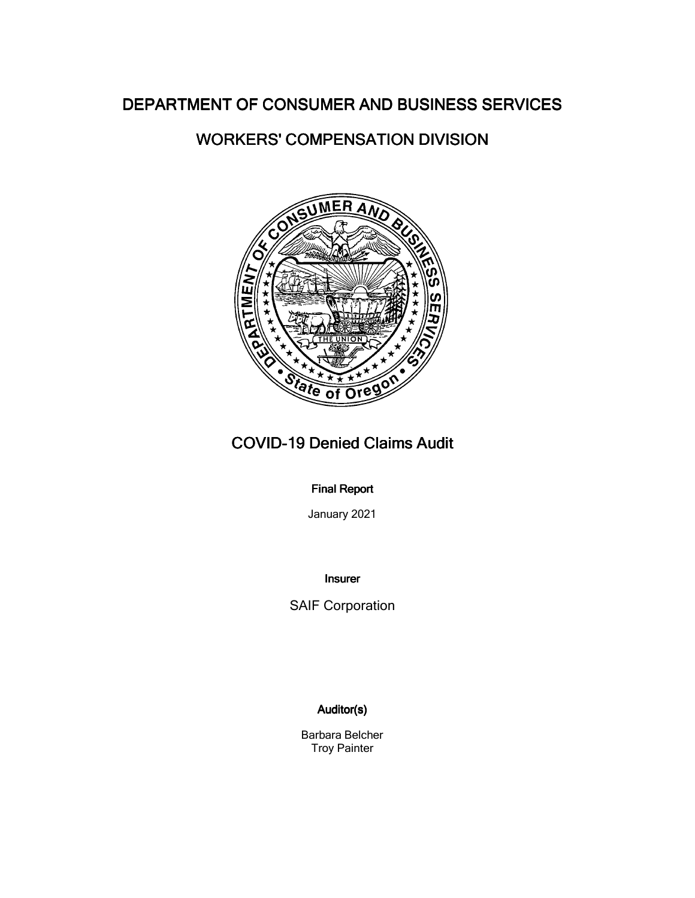# WORKERS' COMPENSATION DIVISION



# COVID-19 Denied Claims Audit

## **Final Report**

January 2021

Insurer

SAIF Corporation

## Auditor(s)

Barbara Belcher Troy Painter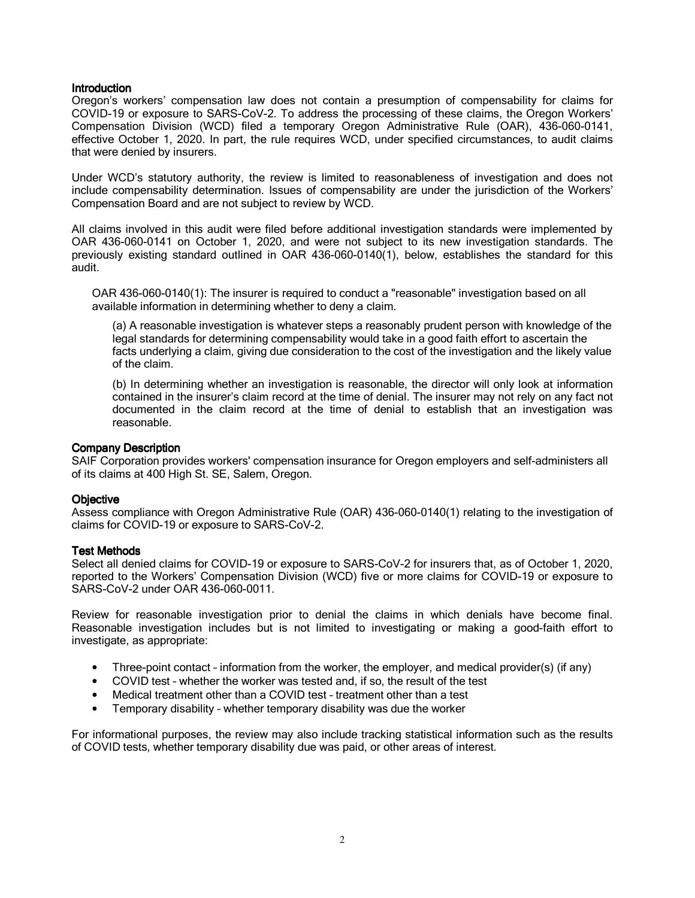Oregon's workers' compensation law does not contain a presumption of compensability for claims for COVID-19 or exposure to SARS-CoV-2. To address the processing of these claims, the Oregon Workers' Compensation Division (WCD) filed a temporary Oregon Administrative Rule (OAR), 436-060-0141, effective October 1, 2020. In part, the rule requires WCD, under specified circumstances, to audit claims that were denied by insurers.

Under WCD's statutory authority, the review is limited to reasonableness of investigation and does not include compensability determination. Issues of compensability are under the jurisdiction of the Workers' Compensation Board and are not subject to review by WCD.

All claims involved in this audit were filed before additional investigation standards were implemented by OAR 436-060-0141 on October 1, 2020, and were not subject to its new investigation standards. The previously existing standard outlined in OAR 436-060-0140(1), below, establishes the standard for this audit.

OAR 436-060-0140(1): The insurer is required to conduct a "reasonable" investigation based on all available information in determining whether to deny a claim.

(a) A reasonable investigation is whatever steps a reasonably prudent person with knowledge of the legal standards for determining compensability would take in a good faith effort to ascertain the facts underlying a claim, giving due consideration to the cost of the investigation and the likely value of the claim.

(b) In determining whether an investigation is reasonable, the director will only look at information contained in the insurer's claim record at the time of denial. The insurer may not rely on any fact not documented in the claim record at the time of denial to establish that an investigation was reasonable.

#### **Company Description**

SAIF Corporation provides workers' compensation insurance for Oregon employers and self-administers all of its claims at 400 High St. SE, Salem, Oregon.

#### **Objective**

Assess compliance with Oregon Administrative Rule (OAR) 436-060-0140(1) relating to the investigation of claims for COVID-19 or exposure to SARS-CoV-2.

## **Test Methods**

Select all denied claims for COVID-19 or exposure to SARS-CoV-2 for insurers that, as of October 1, 2020, reported to the Workers' Compensation Division (WCD) five or more claims for COVID-19 or exposure to SARS-CoV-2 under OAR 436-060-0011.

Review for reasonable investigation prior to denial the claims in which denials have become final. Reasonable investigation includes but is not limited to investigating or making a good-faith effort to investigate, as appropriate:

- Three-point contact information from the worker, the employer, and medical provider(s) (if any)
- COVID test whether the worker was tested and, if so, the result of the test
- Medical treatment other than a COVID test treatment other than a test
- Temporary disability whether temporary disability was due the worker